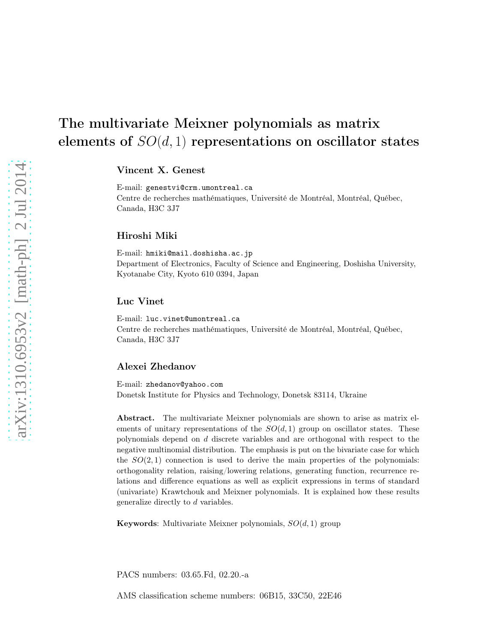# The multivariate Meixner polynomials as matrix elements of  $SO(d,1)$  representations on oscillator states

Vincent X. Genest

E-mail: genestvi@crm.umontreal.ca Centre de recherches mathématiques, Université de Montréal, Montréal, Québec, Canada, H3C 3J7

#### Hiroshi Miki

E-mail: hmiki@mail.doshisha.ac.jp Department of Electronics, Faculty of Science and Engineering, Doshisha University, Kyotanabe City, Kyoto 610 0394, Japan

#### Luc Vinet

E-mail: luc.vinet@umontreal.ca Centre de recherches mathématiques, Université de Montréal, Montréal, Québec, Canada, H3C 3J7

#### Alexei Zhedanov

E-mail: zhedanov@yahoo.com Donetsk Institute for Physics and Technology, Donetsk 83114, Ukraine

Abstract. The multivariate Meixner polynomials are shown to arise as matrix elements of unitary representations of the  $SO(d,1)$  group on oscillator states. These polynomials depend on d discrete variables and are orthogonal with respect to the negative multinomial distribution. The emphasis is put on the bivariate case for which the  $SO(2,1)$  connection is used to derive the main properties of the polynomials: orthogonality relation, raising/lowering relations, generating function, recurrence relations and difference equations as well as explicit expressions in terms of standard (univariate) Krawtchouk and Meixner polynomials. It is explained how these results generalize directly to d variables.

**Keywords:** Multivariate Meixner polynomials,  $SO(d, 1)$  group

PACS numbers: 03.65.Fd, 02.20.-a

AMS classification scheme numbers: 06B15, 33C50, 22E46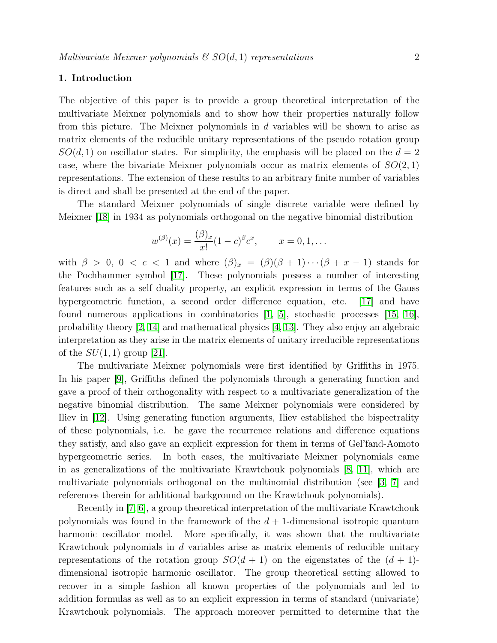#### 1. Introduction

The objective of this paper is to provide a group theoretical interpretation of the multivariate Meixner polynomials and to show how their properties naturally follow from this picture. The Meixner polynomials in d variables will be shown to arise as matrix elements of the reducible unitary representations of the pseudo rotation group  $SO(d,1)$  on oscillator states. For simplicity, the emphasis will be placed on the  $d=2$ case, where the bivariate Meixner polynomials occur as matrix elements of  $SO(2,1)$ representations. The extension of these results to an arbitrary finite number of variables is direct and shall be presented at the end of the paper.

The standard Meixner polynomials of single discrete variable were defined by Meixner [\[18\]](#page-21-0) in 1934 as polynomials orthogonal on the negative binomial distribution

$$
w^{(\beta)}(x) = \frac{(\beta)_x}{x!} (1-c)^{\beta} c^x
$$
,  $x = 0, 1, ...$ 

with  $\beta > 0$ ,  $0 < c < 1$  and where  $(\beta)_x = (\beta)(\beta + 1) \cdots (\beta + x - 1)$  stands for the Pochhammer symbol [\[17\]](#page-21-1). These polynomials possess a number of interesting features such as a self duality property, an explicit expression in terms of the Gauss hypergeometric function, a second order difference equation, etc. [\[17\]](#page-21-1) and have found numerous applications in combinatorics [\[1,](#page-20-0) [5\]](#page-20-1), stochastic processes [\[15,](#page-21-2) [16\]](#page-21-3), probability theory  $\lbrack 2, 14 \rbrack$  and mathematical physics  $\lbrack 4, 13 \rbrack$ . They also enjoy an algebraic interpretation as they arise in the matrix elements of unitary irreducible representations of the  $SU(1,1)$  group [\[21\]](#page-21-6).

The multivariate Meixner polynomials were first identified by Griffiths in 1975. In his paper [\[9\]](#page-20-4), Griffiths defined the polynomials through a generating function and gave a proof of their orthogonality with respect to a multivariate generalization of the negative binomial distribution. The same Meixner polynomials were considered by Iliev in [\[12\]](#page-20-5). Using generating function arguments, Iliev established the bispectrality of these polynomials, i.e. he gave the recurrence relations and difference equations they satisfy, and also gave an explicit expression for them in terms of Gel'fand-Aomoto hypergeometric series. In both cases, the multivariate Meixner polynomials came in as generalizations of the multivariate Krawtchouk polynomials [\[8,](#page-20-6) [11\]](#page-20-7), which are multivariate polynomials orthogonal on the multinomial distribution (see [\[3,](#page-20-8) [7\]](#page-20-9) and references therein for additional background on the Krawtchouk polynomials).

Recently in [\[7,](#page-20-9) [6\]](#page-20-10), a group theoretical interpretation of the multivariate Krawtchouk polynomials was found in the framework of the  $d + 1$ -dimensional isotropic quantum harmonic oscillator model. More specifically, it was shown that the multivariate Krawtchouk polynomials in d variables arise as matrix elements of reducible unitary representations of the rotation group  $SO(d+1)$  on the eigenstates of the  $(d+1)$ dimensional isotropic harmonic oscillator. The group theoretical setting allowed to recover in a simple fashion all known properties of the polynomials and led to addition formulas as well as to an explicit expression in terms of standard (univariate) Krawtchouk polynomials. The approach moreover permitted to determine that the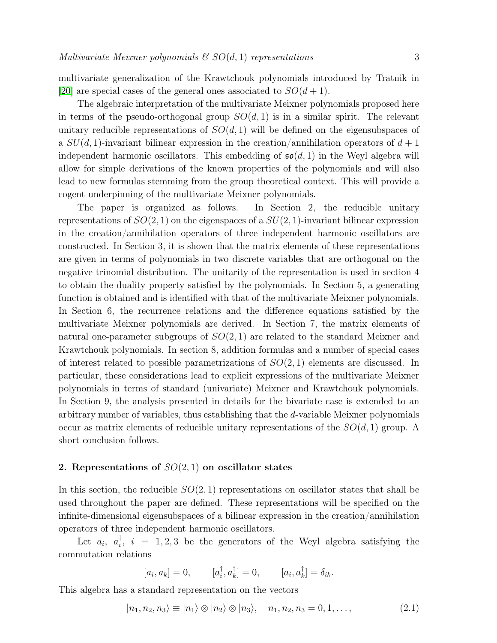multivariate generalization of the Krawtchouk polynomials introduced by Tratnik in [\[20\]](#page-21-7) are special cases of the general ones associated to  $SO(d+1)$ .

The algebraic interpretation of the multivariate Meixner polynomials proposed here in terms of the pseudo-orthogonal group  $SO(d, 1)$  is in a similar spirit. The relevant unitary reducible representations of  $SO(d, 1)$  will be defined on the eigensubspaces of a  $SU(d,1)$ -invariant bilinear expression in the creation/annihilation operators of  $d+1$ independent harmonic oscillators. This embedding of  $\mathfrak{so}(d,1)$  in the Weyl algebra will allow for simple derivations of the known properties of the polynomials and will also lead to new formulas stemming from the group theoretical context. This will provide a cogent underpinning of the multivariate Meixner polynomials.

The paper is organized as follows. In Section 2, the reducible unitary representations of  $SO(2,1)$  on the eigenspaces of a  $SU(2,1)$ -invariant bilinear expression in the creation/annihilation operators of three independent harmonic oscillators are constructed. In Section 3, it is shown that the matrix elements of these representations are given in terms of polynomials in two discrete variables that are orthogonal on the negative trinomial distribution. The unitarity of the representation is used in section 4 to obtain the duality property satisfied by the polynomials. In Section 5, a generating function is obtained and is identified with that of the multivariate Meixner polynomials. In Section 6, the recurrence relations and the difference equations satisfied by the multivariate Meixner polynomials are derived. In Section 7, the matrix elements of natural one-parameter subgroups of  $SO(2,1)$  are related to the standard Meixner and Krawtchouk polynomials. In section 8, addition formulas and a number of special cases of interest related to possible parametrizations of  $SO(2, 1)$  elements are discussed. In particular, these considerations lead to explicit expressions of the multivariate Meixner polynomials in terms of standard (univariate) Meixner and Krawtchouk polynomials. In Section 9, the analysis presented in details for the bivariate case is extended to an arbitrary number of variables, thus establishing that the d-variable Meixner polynomials occur as matrix elements of reducible unitary representations of the  $SO(d,1)$  group. A short conclusion follows.

#### 2. Representations of  $SO(2,1)$  on oscillator states

In this section, the reducible  $SO(2, 1)$  representations on oscillator states that shall be used throughout the paper are defined. These representations will be specified on the infinite-dimensional eigensubspaces of a bilinear expression in the creation/annihilation operators of three independent harmonic oscillators.

Let  $a_i$ ,  $a_i^{\dagger}$  $\overline{i}$ ,  $i = 1, 2, 3$  be the generators of the Weyl algebra satisfying the commutation relations

<span id="page-2-0"></span>
$$
[a_i, a_k] = 0, \qquad [a_i^{\dagger}, a_k^{\dagger}] = 0, \qquad [a_i, a_k^{\dagger}] = \delta_{ik}.
$$

This algebra has a standard representation on the vectors

$$
|n_1, n_2, n_3\rangle \equiv |n_1\rangle \otimes |n_2\rangle \otimes |n_3\rangle, \quad n_1, n_2, n_3 = 0, 1, \dots,
$$
\n(2.1)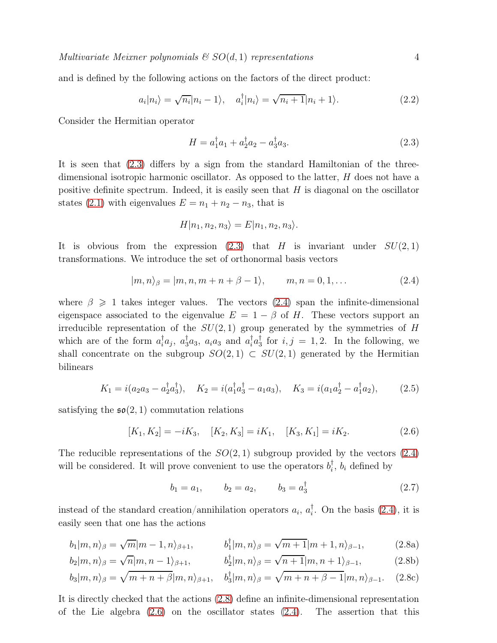and is defined by the following actions on the factors of the direct product:

$$
a_i|n_i\rangle = \sqrt{n_i}|n_i - 1\rangle, \quad a_i^{\dagger}|n_i\rangle = \sqrt{n_i + 1}|n_i + 1\rangle. \tag{2.2}
$$

Consider the Hermitian operator

<span id="page-3-5"></span><span id="page-3-0"></span>
$$
H = a_1^{\dagger} a_1 + a_2^{\dagger} a_2 - a_3^{\dagger} a_3. \tag{2.3}
$$

It is seen that [\(2.3\)](#page-3-0) differs by a sign from the standard Hamiltonian of the threedimensional isotropic harmonic oscillator. As opposed to the latter,  $H$  does not have a positive definite spectrum. Indeed, it is easily seen that  $H$  is diagonal on the oscillator states [\(2.1\)](#page-2-0) with eigenvalues  $E = n_1 + n_2 - n_3$ , that is

<span id="page-3-1"></span>
$$
H|n_1, n_2, n_3\rangle = E|n_1, n_2, n_3\rangle.
$$

It is obvious from the expression [\(2.3\)](#page-3-0) that H is invariant under  $SU(2,1)$ transformations. We introduce the set of orthonormal basis vectors

$$
|m,n\rangle_{\beta} = |m,n,m+n+\beta-1\rangle, \qquad m,n=0,1,\dots
$$
 (2.4)

where  $\beta \geq 1$  takes integer values. The vectors [\(2.4\)](#page-3-1) span the infinite-dimensional eigenspace associated to the eigenvalue  $E = 1 - \beta$  of H. These vectors support an irreducible representation of the  $SU(2,1)$  group generated by the symmetries of H which are of the form  $a_i^{\dagger}a_j$ ,  $a_3^{\dagger}a_3$ ,  $a_ia_3$  and  $a_i^{\dagger}a_3^{\dagger}$  $\frac{1}{3}$  for  $i, j = 1, 2$ . In the following, we shall concentrate on the subgroup  $SO(2,1) \subset SU(2,1)$  generated by the Hermitian bilinears

$$
K_1 = i(a_2a_3 - a_2^{\dagger}a_3^{\dagger}), \quad K_2 = i(a_1^{\dagger}a_3^{\dagger} - a_1a_3), \quad K_3 = i(a_1a_2^{\dagger} - a_1^{\dagger}a_2),
$$
 (2.5)

satisfying the  $\mathfrak{so}(2,1)$  commutation relations

$$
[K_1, K_2] = -iK_3, \quad [K_2, K_3] = iK_1, \quad [K_3, K_1] = iK_2. \tag{2.6}
$$

The reducible representations of the  $SO(2,1)$  subgroup provided by the vectors  $(2.4)$ will be considered. It will prove convenient to use the operators  $b_i^{\dagger}$  $\mathbf{I}_i, b_i$  defined by

<span id="page-3-4"></span><span id="page-3-3"></span><span id="page-3-2"></span>
$$
b_1 = a_1,
$$
  $b_2 = a_2,$   $b_3 = a_3^{\dagger}$  
$$
(2.7)
$$

instead of the standard creation/annihilation operators  $a_i$ ,  $a_i^{\dagger}$  $\left\{\right\}$ . On the basis  $(2.4)$ , it is easily seen that one has the actions

$$
b_1 | m, n \rangle_{\beta} = \sqrt{m} | m - 1, n \rangle_{\beta + 1}, \qquad b_1^{\dagger} | m, n \rangle_{\beta} = \sqrt{m + 1} | m + 1, n \rangle_{\beta - 1}, \tag{2.8a}
$$

$$
b_2|m,n\rangle_{\beta} = \sqrt{n}|m,n-1\rangle_{\beta+1}, \qquad b_2^{\dagger}|m,n\rangle_{\beta} = \sqrt{n+1}|m,n+1\rangle_{\beta-1}, \qquad (2.8b)
$$

$$
b_3|m,n\rangle_{\beta} = \sqrt{m+n+\beta}|m,n\rangle_{\beta+1}, \quad b_3^{\dagger}|m,n\rangle_{\beta} = \sqrt{m+n+\beta-1}|m,n\rangle_{\beta-1}.\tag{2.8c}
$$

It is directly checked that the actions [\(2.8\)](#page-3-2) define an infinite-dimensional representation of the Lie algebra  $(2.6)$  on the oscillator states  $(2.4)$ . The assertion that this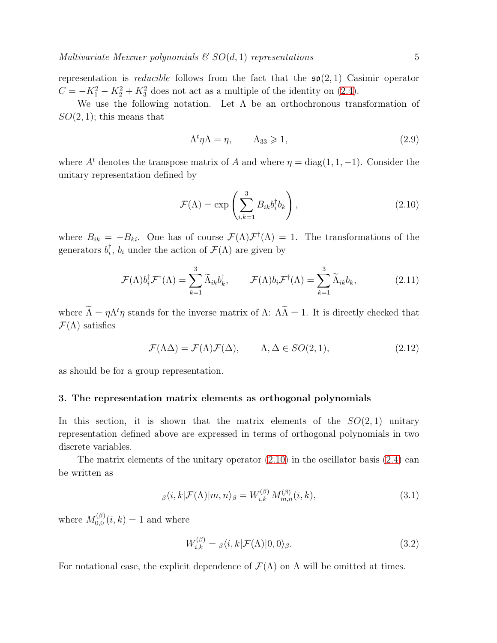representation is *reducible* follows from the fact that the  $\mathfrak{so}(2,1)$  Casimir operator  $C = -K_1^2 - K_2^2 + K_3^2$  does not act as a multiple of the identity on [\(2.4\)](#page-3-1).

We use the following notation. Let  $\Lambda$  be an orthochronous transformation of  $SO(2,1)$ ; this means that

<span id="page-4-2"></span><span id="page-4-0"></span>
$$
\Lambda^t \eta \Lambda = \eta, \qquad \Lambda_{33} \geqslant 1,\tag{2.9}
$$

where  $A^t$  denotes the transpose matrix of A and where  $\eta = \text{diag}(1, 1, -1)$ . Consider the unitary representation defined by

<span id="page-4-1"></span>
$$
\mathcal{F}(\Lambda) = \exp\left(\sum_{i,k=1}^{3} B_{ik} b_i^{\dagger} b_k\right),\tag{2.10}
$$

where  $B_{ik} = -B_{ki}$ . One has of course  $\mathcal{F}(\Lambda)\mathcal{F}^{\dagger}(\Lambda) = 1$ . The transformations of the generators  $b_i^{\dagger}$  $\mathcal{F}_i^{\dagger}$ ,  $b_i$  under the action of  $\mathcal{F}(\Lambda)$  are given by

$$
\mathcal{F}(\Lambda)b_i^{\dagger}\mathcal{F}^{\dagger}(\Lambda) = \sum_{k=1}^{3} \widetilde{\Lambda}_{ik}b_k^{\dagger}, \qquad \mathcal{F}(\Lambda)b_i\mathcal{F}^{\dagger}(\Lambda) = \sum_{k=1}^{3} \widetilde{\Lambda}_{ik}b_k, \qquad (2.11)
$$

where  $\tilde{\Lambda} = \eta \Lambda^t \eta$  stands for the inverse matrix of  $\Lambda$ :  $\tilde{\Lambda} = 1$ . It is directly checked that  $\mathcal{F}(\Lambda)$  satisfies

$$
\mathcal{F}(\Lambda \Delta) = \mathcal{F}(\Lambda)\mathcal{F}(\Delta), \qquad \Lambda, \Delta \in SO(2, 1), \tag{2.12}
$$

as should be for a group representation.

#### 3. The representation matrix elements as orthogonal polynomials

In this section, it is shown that the matrix elements of the  $SO(2,1)$  unitary representation defined above are expressed in terms of orthogonal polynomials in two discrete variables.

The matrix elements of the unitary operator [\(2.10\)](#page-4-0) in the oscillator basis [\(2.4\)](#page-3-1) can be written as

$$
\beta \langle i, k | \mathcal{F}(\Lambda) | m, n \rangle_{\beta} = W_{i,k}^{(\beta)} M_{m,n}^{(\beta)}(i,k), \tag{3.1}
$$

where  $M_{0.0}^{(\beta)}$  $_{0,0}^{(p)}(i,k) = 1$  and where

<span id="page-4-4"></span><span id="page-4-3"></span>
$$
W_{i,k}^{(\beta)} = \beta \langle i, k | \mathcal{F}(\Lambda) | 0, 0 \rangle_{\beta}.
$$
\n(3.2)

For notational ease, the explicit dependence of  $\mathcal{F}(\Lambda)$  on  $\Lambda$  will be omitted at times.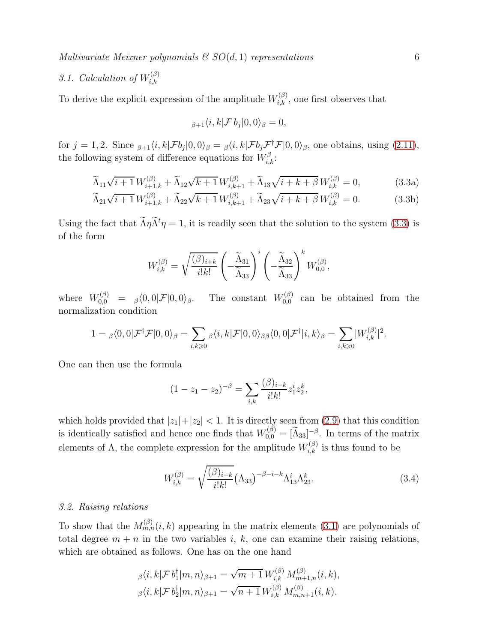Multivariate Meixner polynomials  $\mathcal{C}SO(d,1)$  representations 6

#### 3.1. Calculation of  $W_{i,k}^{(\beta)}$  $_{i,k}$

To derive the explicit expression of the amplitude  $W_{i,k}^{(\beta)}$ , one first observes that

<span id="page-5-0"></span>
$$
_{\beta+1}\langle i,k|\mathcal{F}\,b_j|0,0\rangle_{\beta}=0,
$$

for  $j = 1, 2$ . Since  $\beta_{j+1}\langle i, k | \mathcal{F}b_j | 0, 0 \rangle_\beta = \beta \langle i, k | \mathcal{F}b_j \mathcal{F}^\dagger_j \mathcal{F} | 0, 0 \rangle_\beta$ , one obtains, using  $(2.11)$ , the following system of difference equations for  $W^{\beta}_{i,k}$ :

$$
\widetilde{\Lambda}_{11}\sqrt{i+1}W_{i+1,k}^{(\beta)} + \widetilde{\Lambda}_{12}\sqrt{k+1}W_{i,k+1}^{(\beta)} + \widetilde{\Lambda}_{13}\sqrt{i+k+\beta}W_{i,k}^{(\beta)} = 0, \tag{3.3a}
$$

$$
\widetilde{\Lambda}_{21}\sqrt{i+1}W_{i+1,k}^{(\beta)} + \widetilde{\Lambda}_{22}\sqrt{k+1}W_{i,k+1}^{(\beta)} + \widetilde{\Lambda}_{23}\sqrt{i+k+\beta}W_{i,k}^{(\beta)} = 0.
$$
 (3.3b)

Using the fact that  $\tilde{\Lambda}\eta\tilde{\Lambda}^t\eta = 1$ , it is readily seen that the solution to the system [\(3.3\)](#page-5-0) is of the form

$$
W_{i,k}^{(\beta)} = \sqrt{\frac{(\beta)_{i+k}}{i!k!}} \left(-\frac{\widetilde{\Lambda}_{31}}{\widetilde{\Lambda}_{33}}\right)^i \left(-\frac{\widetilde{\Lambda}_{32}}{\widetilde{\Lambda}_{33}}\right)^k W_{0,0}^{(\beta)},
$$

where  $W_{0,0}^{(\beta)} = \beta \langle 0,0 | \mathcal{F} | 0,0 \rangle_{\beta}$ . The constant  $W_{0,0}^{(\beta)}$  $_{0,0}^{(\rho)}$  can be obtained from the normalization condition

$$
1 = \beta \langle 0, 0 | \mathcal{F}^{\dagger} \mathcal{F} | 0, 0 \rangle_{\beta} = \sum_{i,k \geq 0} \beta \langle i, k | \mathcal{F} | 0, 0 \rangle_{\beta \beta} \langle 0, 0 | \mathcal{F}^{\dagger} | i, k \rangle_{\beta} = \sum_{i,k \geq 0} |W_{i,k}^{(\beta)}|^2.
$$

One can then use the formula

$$
(1 - z1 - z2)-\beta = \sum_{i,k} \frac{(\beta)_{i+k}}{i!k!} z_1^i z_2^k,
$$

which holds provided that  $|z_1|+|z_2| < 1$ . It is directly seen from [\(2.9\)](#page-4-2) that this condition is identically satisfied and hence one finds that  $W_{0,0}^{(\beta)} = \left[\widetilde{\Lambda}_{33}\right]_{\beta}^{-\beta}$ . In terms of the matrix elements of  $\Lambda$ , the complete expression for the amplitude  $W_{i,k}^{(\beta)}$  is thus found to be

<span id="page-5-1"></span>
$$
W_{i,k}^{(\beta)} = \sqrt{\frac{(\beta)_{i+k}}{i!k!}} (\Lambda_{33})^{-\beta - i - k} \Lambda_{13}^{i} \Lambda_{23}^{k}.
$$
 (3.4)

#### 3.2. Raising relations

To show that the  $M_{m,n}^{(\beta)}(i,k)$  appearing in the matrix elements [\(3.1\)](#page-4-3) are polynomials of total degree  $m + n$  in the two variables i, k, one can examine their raising relations, which are obtained as follows. One has on the one hand

$$
\begin{split} &\beta \langle i,k|\mathcal{F}\,b_1^\dagger |m,n\rangle_{\beta+1} = \sqrt{m+1}\,W_{i,k}^{(\beta)}\,M_{m+1,n}^{(\beta)}(i,k),\\ &\beta \langle i,k|\mathcal{F}\,b_2^\dagger |m,n\rangle_{\beta+1} = \sqrt{n+1}\,W_{i,k}^{(\beta)}\,M_{m,n+1}^{(\beta)}(i,k). \end{split}
$$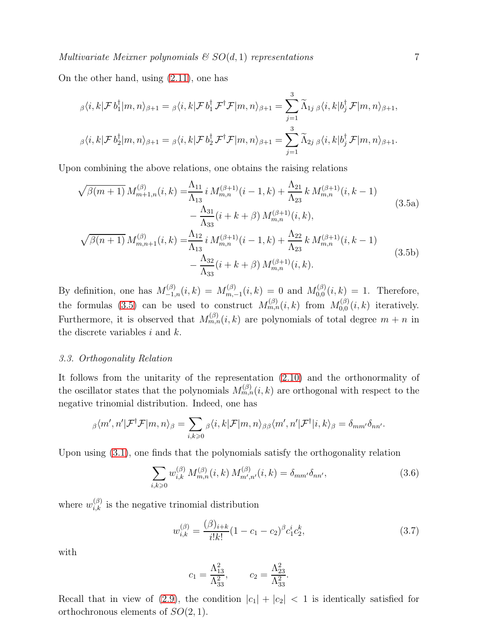On the other hand, using [\(2.11\)](#page-4-1), one has

$$
\beta \langle i, k | \mathcal{F} b_1^{\dagger} | m, n \rangle_{\beta+1} = \beta \langle i, k | \mathcal{F} b_1^{\dagger} \mathcal{F}^{\dagger} \mathcal{F} | m, n \rangle_{\beta+1} = \sum_{j=1}^{3} \widetilde{\Lambda}_{1j \beta} \langle i, k | b_j^{\dagger} \mathcal{F} | m, n \rangle_{\beta+1},
$$
  

$$
\beta \langle i, k | \mathcal{F} b_2^{\dagger} | m, n \rangle_{\beta+1} = \beta \langle i, k | \mathcal{F} b_2^{\dagger} \mathcal{F}^{\dagger} \mathcal{F} | m, n \rangle_{\beta+1} = \sum_{j=1}^{3} \widetilde{\Lambda}_{2j \beta} \langle i, k | b_j^{\dagger} \mathcal{F} | m, n \rangle_{\beta+1}.
$$

<span id="page-6-0"></span> $\ddot{\mathbf{3}}$ 

Upon combining the above relations, one obtains the raising relations

$$
\sqrt{\beta(m+1)} M_{m+1,n}^{(\beta)}(i,k) = \frac{\Lambda_{11}}{\Lambda_{13}} i M_{m,n}^{(\beta+1)}(i-1,k) + \frac{\Lambda_{21}}{\Lambda_{23}} k M_{m,n}^{(\beta+1)}(i,k-1)
$$
  
\n
$$
- \frac{\Lambda_{31}}{\Lambda_{33}} (i+k+\beta) M_{m,n}^{(\beta+1)}(i,k),
$$
  
\n
$$
\sqrt{\beta(n+1)} M_{m,n+1}^{(\beta)}(i,k) = \frac{\Lambda_{12}}{\Lambda_{13}} i M_{m,n}^{(\beta+1)}(i-1,k) + \frac{\Lambda_{22}}{\Lambda_{23}} k M_{m,n}^{(\beta+1)}(i,k-1)
$$
  
\n
$$
- \frac{\Lambda_{32}}{\Lambda_{33}} (i+k+\beta) M_{m,n}^{(\beta+1)}(i,k).
$$
\n(3.5b)

By definition, one has  $M_{-1,n}^{(\beta)}(i,k) = M_{m,-}^{(\beta)}$  $\mathcal{M}_{m,-1}^{(\beta)}(i,k) \, = \, 0 \, \text{ and } \, \mathcal{M}_{0,0}^{(\beta)}$  $C_{0,0}^{(p)}(i,k) = 1$ . Therefore, the formulas [\(3.5\)](#page-6-0) can be used to construct  $M_{m,n}^{(\beta)}(i,k)$  from  $M_{0,0}^{(\beta)}$  $_{0,0}^{(\rho)}(i,k)$  iteratively. Furthermore, it is observed that  $M_{m,n}^{(\beta)}(i,k)$  are polynomials of total degree  $m+n$  in the discrete variables  $i$  and  $k$ .

#### 3.3. Orthogonality Relation

It follows from the unitarity of the representation [\(2.10\)](#page-4-0) and the orthonormality of the oscillator states that the polynomials  $M_{m,n}^{(\beta)}(i,k)$  are orthogonal with respect to the negative trinomial distribution. Indeed, one has

$$
{}_{\beta}\langle m',n'|\mathcal{F}^{\dagger}\mathcal{F}|m,n\rangle_{\beta}=\sum_{i,k\geqslant 0}\beta\langle i,k|\mathcal{F}|m,n\rangle_{\beta\beta}\langle m',n'|\mathcal{F}^{\dagger}|i,k\rangle_{\beta}=\delta_{mm'}\delta_{nn'}.
$$

Upon using [\(3.1\)](#page-4-3), one finds that the polynomials satisfy the orthogonality relation

$$
\sum_{i,k\geq 0} w_{i,k}^{(\beta)} M_{m,n}^{(\beta)}(i,k) M_{m',n'}^{(\beta)}(i,k) = \delta_{mm'} \delta_{nn'},
$$
\n(3.6)

where  $w_{i,k}^{(\beta)}$  is the negative trinomial distribution

$$
w_{i,k}^{(\beta)} = \frac{(\beta)_{i+k}}{i!k!} (1 - c_1 - c_2)^{\beta} c_1^i c_2^k,
$$
\n(3.7)

with

<span id="page-6-1"></span>
$$
c_1 = \frac{\Lambda_{13}^2}{\Lambda_{33}^2}
$$
,  $c_2 = \frac{\Lambda_{23}^2}{\Lambda_{33}^2}$ .

Recall that in view of [\(2.9\)](#page-4-2), the condition  $|c_1| + |c_2| < 1$  is identically satisfied for orthochronous elements of  $SO(2,1)$ .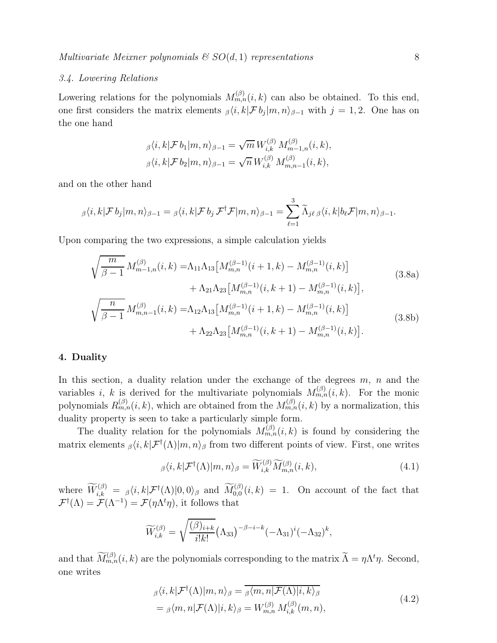#### 3.4. Lowering Relations

Lowering relations for the polynomials  $M_{m,n}^{(\beta)}(i,k)$  can also be obtained. To this end, one first considers the matrix elements  $\beta \langle i, k | \mathcal{F} b_j | m, n \rangle_{\beta-1}$  with  $j = 1, 2$ . One has on the one hand

$$
\beta \langle i, k | \mathcal{F} b_1 | m, n \rangle_{\beta - 1} = \sqrt{m} \, W_{i,k}^{(\beta)} \, M_{m-1,n}^{(\beta)}(i,k),
$$
  

$$
\beta \langle i, k | \mathcal{F} b_2 | m, n \rangle_{\beta - 1} = \sqrt{n} \, W_{i,k}^{(\beta)} \, M_{m,n-1}^{(\beta)}(i,k),
$$

and on the other hand

$$
\beta \langle i, k | \mathcal{F} b_j | m, n \rangle_{\beta - 1} = \beta \langle i, k | \mathcal{F} b_j \mathcal{F}^{\dagger} \mathcal{F} | m, n \rangle_{\beta - 1} = \sum_{\ell = 1}^{3} \widetilde{\Lambda}_{j\ell} \beta \langle i, k | b_\ell \mathcal{F} | m, n \rangle_{\beta - 1}.
$$

Upon comparing the two expressions, a simple calculation yields

$$
\sqrt{\frac{m}{\beta - 1}} M_{m-1,n}^{(\beta)}(i,k) = \Lambda_{11} \Lambda_{13} \left[ M_{m,n}^{(\beta - 1)}(i+1,k) - M_{m,n}^{(\beta - 1)}(i,k) \right] \n+ \Lambda_{21} \Lambda_{23} \left[ M_{m,n}^{(\beta - 1)}(i,k+1) - M_{m,n}^{(\beta - 1)}(i,k) \right],
$$
\n(3.8a)  
\n
$$
\sqrt{\frac{n}{\beta - 1}} M_{m,n-1}^{(\beta)}(i,k) = \Lambda_{12} \Lambda_{13} \left[ M_{m,n}^{(\beta - 1)}(i+1,k) - M_{m,n}^{(\beta - 1)}(i,k) \right] \n+ \Lambda_{22} \Lambda_{23} \left[ M_{m,n}^{(\beta - 1)}(i,k+1) - M_{m,n}^{(\beta - 1)}(i,k) \right].
$$
\n(3.8b)

#### 4. Duality

In this section, a duality relation under the exchange of the degrees  $m$ ,  $n$  and the variables *i*, *k* is derived for the multivariate polynomials  $M_{m,n}^{(\beta)}(i,k)$ . For the monic polynomials  $R_{m,n}^{(\beta)}(i,k)$ , which are obtained from the  $M_{m,n}^{(\beta)}(i,k)$  by a normalization, this duality property is seen to take a particularly simple form.

The duality relation for the polynomials  $M_{m,n}^{(\beta)}(i,k)$  is found by considering the matrix elements  $_{\beta}\langle i, k | \mathcal{F}^{\dagger}(\Lambda) | m, n \rangle_{\beta}$  from two different points of view. First, one writes

<span id="page-7-0"></span>
$$
\beta \langle i, k | \mathcal{F}^{\dagger}(\Lambda) | m, n \rangle_{\beta} = \widetilde{W}_{i,k}^{(\beta)} \widetilde{M}_{m,n}^{(\beta)}(i,k), \tag{4.1}
$$

where  $\widetilde{W}_{i,k}^{(\beta)} = \beta \langle i, k | \mathcal{F}^{\dagger}(\Lambda) | 0, 0 \rangle_{\beta}$  and  $\widetilde{M}_{0,0}^{(\beta)}(i,k) = 1$ . On account of the fact that  $\mathcal{F}^{\dagger}(\Lambda) = \mathcal{F}(\Lambda^{-1}) = \mathcal{F}(\eta \Lambda^{t} \eta)$ , it follows that

$$
\widetilde{W}_{i,k}^{(\beta)} = \sqrt{\frac{(\beta)_{i+k}}{i!k!}} (\Lambda_{33})^{-\beta - i - k} (-\Lambda_{31})^i (-\Lambda_{32})^k,
$$

and that  $\widetilde{M}_{m,n}^{(\beta)}(i,k)$  are the polynomials corresponding to the matrix  $\widetilde{\Lambda} = \eta \Lambda^t \eta$ . Second, one writes

<span id="page-7-1"></span>
$$
\beta \langle i, k | \mathcal{F}^{\dagger}(\Lambda) | m, n \rangle_{\beta} = \overline{\beta \langle m, n | \mathcal{F}(\Lambda) | i, k \rangle_{\beta}}
$$
  
=  $\beta \langle m, n | \mathcal{F}(\Lambda) | i, k \rangle_{\beta} = W_{m,n}^{(\beta)} M_{i,k}^{(\beta)}(m, n),$  (4.2)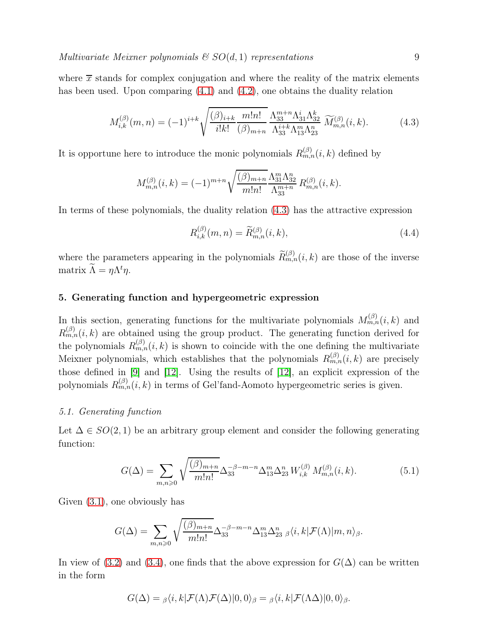where  $\bar{x}$  stands for complex conjugation and where the reality of the matrix elements has been used. Upon comparing  $(4.1)$  and  $(4.2)$ , one obtains the duality relation

$$
M_{i,k}^{(\beta)}(m,n) = (-1)^{i+k} \sqrt{\frac{(\beta)_{i+k}}{i!k!} \frac{m!n!}{(\beta)_{m+n}}} \frac{\Lambda_{33}^{m+n} \Lambda_{31}^{i} \Lambda_{32}^{k}}{\Lambda_{33}^{i+k} \Lambda_{13}^{m} \Lambda_{23}^{n}} \widetilde{M}_{m,n}^{(\beta)}(i,k).
$$
 (4.3)

It is opportune here to introduce the monic polynomials  $R_{m,n}^{(\beta)}(i,k)$  defined by

$$
M_{m,n}^{(\beta)}(i,k) = (-1)^{m+n} \sqrt{\frac{(\beta)_{m+n}}{m!n!}} \frac{\Lambda_{31}^m \Lambda_{32}^n}{\Lambda_{33}^{m+n}} R_{m,n}^{(\beta)}(i,k).
$$

In terms of these polynomials, the duality relation [\(4.3\)](#page-8-0) has the attractive expression

<span id="page-8-2"></span><span id="page-8-0"></span>
$$
R_{i,k}^{(\beta)}(m,n) = \widetilde{R}_{m,n}^{(\beta)}(i,k),\tag{4.4}
$$

where the parameters appearing in the polynomials  $\widetilde{R}_{m,n}^{(\beta)}(i,k)$  are those of the inverse matrix  $\Lambda = \eta \Lambda^t \eta$ .

#### 5. Generating function and hypergeometric expression

In this section, generating functions for the multivariate polynomials  $M_{m,n}^{(\beta)}(i,k)$  and  $R_{m,n}^{(\beta)}(i,k)$  are obtained using the group product. The generating function derived for the polynomials  $R_{m,n}^{(\beta)}(i,k)$  is shown to coincide with the one defining the multivariate Meixner polynomials, which establishes that the polynomials  $R_{m,n}^{(\beta)}(i,k)$  are precisely those defined in [\[9\]](#page-20-4) and [\[12\]](#page-20-5). Using the results of [\[12\]](#page-20-5), an explicit expression of the polynomials  $R_{m,n}^{(\beta)}(i,k)$  in terms of Gel'fand-Aomoto hypergeometric series is given.

#### 5.1. Generating function

Let  $\Delta \in SO(2,1)$  be an arbitrary group element and consider the following generating function:

<span id="page-8-1"></span>
$$
G(\Delta) = \sum_{m,n\geqslant 0} \sqrt{\frac{(\beta)_{m+n}}{m!n!}} \Delta_{33}^{-\beta-m-n} \Delta_{13}^m \Delta_{23}^n W_{i,k}^{(\beta)} M_{m,n}^{(\beta)}(i,k).
$$
 (5.1)

Given [\(3.1\)](#page-4-3), one obviously has

$$
G(\Delta) = \sum_{m,n\geqslant 0} \sqrt{\frac{(\beta)_{m+n}}{m!n!}} \Delta_{33}^{-\beta-m-n} \Delta_{13}^m \Delta_{23}^n \beta \langle i,k|\mathcal{F}(\Lambda)|m,n\rangle_{\beta}.
$$

In view of [\(3.2\)](#page-4-4) and [\(3.4\)](#page-5-1), one finds that the above expression for  $G(\Delta)$  can be written in the form

$$
G(\Delta) = \beta \langle i, k | \mathcal{F}(\Lambda) \mathcal{F}(\Delta) | 0, 0 \rangle_{\beta} = \beta \langle i, k | \mathcal{F}(\Lambda \Delta) | 0, 0 \rangle_{\beta}.
$$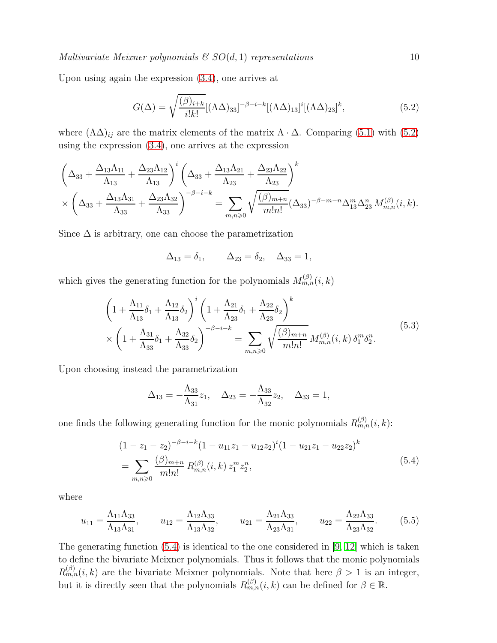Multivariate Meixner polynomials  $\mathcal{C}SO(d,1)$  representations 10

Upon using again the expression [\(3.4\)](#page-5-1), one arrives at

<span id="page-9-0"></span>
$$
G(\Delta) = \sqrt{\frac{(\beta)_{i+k}}{i!k!}} [(\Lambda \Delta)_{33}]^{-\beta - i - k} [(\Lambda \Delta)_{13}]^{i} [(\Lambda \Delta)_{23}]^{k},
$$
\n(5.2)

where  $(\Lambda \Delta)_{ij}$  are the matrix elements of the matrix  $\Lambda \cdot \Delta$ . Comparing [\(5.1\)](#page-8-1) with [\(5.2\)](#page-9-0) using the expression [\(3.4\)](#page-5-1), one arrives at the expression

$$
\left(\Delta_{33} + \frac{\Delta_{13}\Lambda_{11}}{\Lambda_{13}} + \frac{\Delta_{23}\Lambda_{12}}{\Lambda_{13}}\right)^i \left(\Delta_{33} + \frac{\Delta_{13}\Lambda_{21}}{\Lambda_{23}} + \frac{\Delta_{23}\Lambda_{22}}{\Lambda_{23}}\right)^k
$$
  
\$\times \left(\Delta\_{33} + \frac{\Delta\_{13}\Lambda\_{31}}{\Lambda\_{33}} + \frac{\Delta\_{23}\Lambda\_{32}}{\Lambda\_{33}}\right)^{-\beta - i - k} = \sum\_{m,n \geq 0} \sqrt{\frac{(\beta)\_{m+n}}{m! n!}} (\Delta\_{33})^{-\beta - m - n} \Delta\_{13}^m \Delta\_{23}^n M\_{m,n}^{(\beta)}(i,k).

Since  $\Delta$  is arbitrary, one can choose the parametrization

$$
\Delta_{13} = \delta_1, \qquad \Delta_{23} = \delta_2, \quad \Delta_{33} = 1,
$$

which gives the generating function for the polynomials  $M_{m,n}^{(\beta)}(i,k)$ 

$$
\left(1 + \frac{\Lambda_{11}}{\Lambda_{13}}\delta_1 + \frac{\Lambda_{12}}{\Lambda_{13}}\delta_2\right)^i \left(1 + \frac{\Lambda_{21}}{\Lambda_{23}}\delta_1 + \frac{\Lambda_{22}}{\Lambda_{23}}\delta_2\right)^k\n\n\times \left(1 + \frac{\Lambda_{31}}{\Lambda_{33}}\delta_1 + \frac{\Lambda_{32}}{\Lambda_{33}}\delta_2\right)^{-\beta - i - k} = \sum_{m,n \geq 0} \sqrt{\frac{(\beta)_{m+n}}{m!n!}} M_{m,n}^{(\beta)}(i,k) \,\delta_1^m \delta_2^n.
$$
\n(5.3)

Upon choosing instead the parametrization

<span id="page-9-2"></span><span id="page-9-1"></span>
$$
\Delta_{13} = -\frac{\Lambda_{33}}{\Lambda_{31}} z_1, \quad \Delta_{23} = -\frac{\Lambda_{33}}{\Lambda_{32}} z_2, \quad \Delta_{33} = 1,
$$

one finds the following generating function for the monic polynomials  $R_{m,n}^{(\beta)}(i,k)$ :

$$
(1 - z1 - z2)-\beta-i-k(1 - u11z1 - u12z2)i(1 - u21z1 - u22z2)k
$$
  
= 
$$
\sum_{m,n\geqslant 0} \frac{(\beta)_{m+n}}{m!n!} R_{m,n}^{(\beta)}(i,k) z_1^m z_2^n,
$$
 (5.4)

where

$$
u_{11} = \frac{\Lambda_{11}\Lambda_{33}}{\Lambda_{13}\Lambda_{31}}, \qquad u_{12} = \frac{\Lambda_{12}\Lambda_{33}}{\Lambda_{13}\Lambda_{32}}, \qquad u_{21} = \frac{\Lambda_{21}\Lambda_{33}}{\Lambda_{23}\Lambda_{31}}, \qquad u_{22} = \frac{\Lambda_{22}\Lambda_{33}}{\Lambda_{23}\Lambda_{32}}.
$$
 (5.5)

The generating function  $(5.4)$  is identical to the one considered in [\[9,](#page-20-4) [12\]](#page-20-5) which is taken to define the bivariate Meixner polynomials. Thus it follows that the monic polynomials  $R_{m,n}^{(\beta)}(i,k)$  are the bivariate Meixner polynomials. Note that here  $\beta > 1$  is an integer, but it is directly seen that the polynomials  $R_{m,n}^{(\beta)}(i,k)$  can be defined for  $\beta \in \mathbb{R}$ .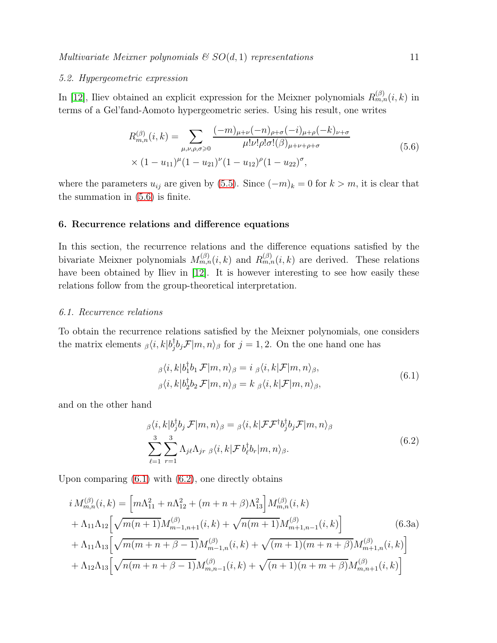#### 5.2. Hypergeometric expression

In [\[12\]](#page-20-5), Iliev obtained an explicit expression for the Meixner polynomials  $R_{m,n}^{(\beta)}(i,k)$  in terms of a Gel'fand-Aomoto hypergeometric series. Using his result, one writes

<span id="page-10-0"></span>
$$
R_{m,n}^{(\beta)}(i,k) = \sum_{\mu,\nu,\rho,\sigma \geq 0} \frac{(-m)_{\mu+\nu}(-n)_{\rho+\sigma}(-i)_{\mu+\rho}(-k)_{\nu+\sigma}}{\mu!\nu!\rho!\sigma!(\beta)_{\mu+\nu+\rho+\sigma}}
$$
  
 
$$
\times (1-u_{11})^{\mu}(1-u_{21})^{\nu}(1-u_{12})^{\rho}(1-u_{22})^{\sigma}, \qquad (5.6)
$$

where the parameters  $u_{ij}$  are given by [\(5.5\)](#page-9-2). Since  $(-m)_k = 0$  for  $k > m$ , it is clear that the summation in [\(5.6\)](#page-10-0) is finite.

#### 6. Recurrence relations and difference equations

In this section, the recurrence relations and the difference equations satisfied by the bivariate Meixner polynomials  $M_{m,n}^{(\beta)}(i,k)$  and  $R_{m,n}^{(\beta)}(i,k)$  are derived. These relations have been obtained by Iliev in [\[12\]](#page-20-5). It is however interesting to see how easily these relations follow from the group-theoretical interpretation.

#### 6.1. Recurrence relations

To obtain the recurrence relations satisfied by the Meixner polynomials, one considers the matrix elements  $_{\beta}\langle i,k|b_j^{\dagger}$  $\int_{j}^{T} b_j \mathcal{F} |m, n \rangle_{\beta}$  for  $j = 1, 2$ . On the one hand one has

<span id="page-10-2"></span><span id="page-10-1"></span>
$$
\beta \langle i, k | b_1^{\dagger} b_1 \mathcal{F} | m, n \rangle_{\beta} = i \, \beta \langle i, k | \mathcal{F} | m, n \rangle_{\beta},
$$
  

$$
\beta \langle i, k | b_2^{\dagger} b_2 \mathcal{F} | m, n \rangle_{\beta} = k \, \beta \langle i, k | \mathcal{F} | m, n \rangle_{\beta},
$$
  
(6.1)

and on the other hand

<span id="page-10-3"></span>
$$
\beta \langle i, k | b_j^{\dagger} b_j \mathcal{F} | m, n \rangle_{\beta} = \beta \langle i, k | \mathcal{F} \mathcal{F}^{\dagger} b_j^{\dagger} b_j \mathcal{F} | m, n \rangle_{\beta}
$$
\n
$$
\sum_{\ell=1}^{3} \sum_{r=1}^{3} \Lambda_{j\ell} \Lambda_{jr} \beta \langle i, k | \mathcal{F} b_{\ell}^{\dagger} b_r | m, n \rangle_{\beta}.
$$
\n(6.2)

Upon comparing  $(6.1)$  with  $(6.2)$ , one directly obtains

$$
i M_{m,n}^{(\beta)}(i,k) = \left[ m \Lambda_{11}^2 + n \Lambda_{12}^2 + (m+n+\beta) \Lambda_{13}^2 \right] M_{m,n}^{(\beta)}(i,k)
$$
  
+  $\Lambda_{11} \Lambda_{12} \left[ \sqrt{m(n+1)} M_{m-1,n+1}^{(\beta)}(i,k) + \sqrt{n(m+1)} M_{m+1,n-1}^{(\beta)}(i,k) \right]$  (6.3a)  
+  $\Lambda_{11} \Lambda_{13} \left[ \sqrt{m(m+n+\beta-1)} M_{m-1,n}^{(\beta)}(i,k) + \sqrt{(m+1)(m+n+\beta)} M_{m+1,n}^{(\beta)}(i,k) \right]$   
+  $\Lambda_{12} \Lambda_{13} \left[ \sqrt{n(m+n+\beta-1)} M_{m,n-1}^{(\beta)}(i,k) + \sqrt{(n+1)(n+m+\beta)} M_{m,n+1}^{(\beta)}(i,k) \right]$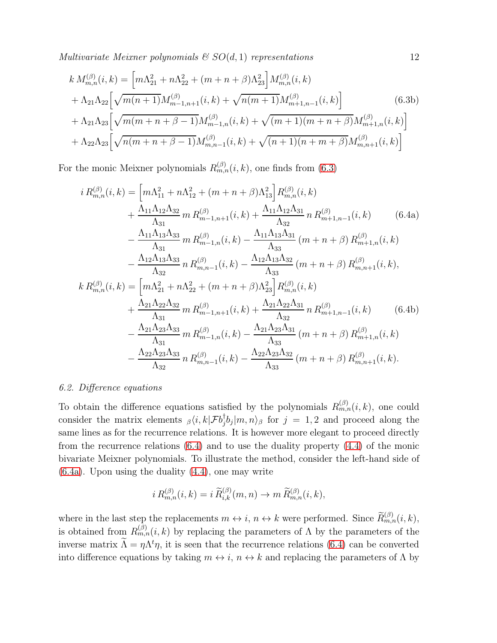Multivariate Meixner polynomials  $g(SO(d, 1))$  representations 12

$$
k M_{m,n}^{(\beta)}(i,k) = \left[ m \Lambda_{21}^2 + n \Lambda_{22}^2 + (m+n+\beta) \Lambda_{23}^2 \right] M_{m,n}^{(\beta)}(i,k)
$$
  
+  $\Lambda_{21} \Lambda_{22} \left[ \sqrt{m(n+1)} M_{m-1,n+1}^{(\beta)}(i,k) + \sqrt{n(m+1)} M_{m+1,n-1}^{(\beta)}(i,k) \right]$   
+  $\Lambda_{21} \Lambda_{23} \left[ \sqrt{m(m+n+\beta-1)} M_{m-1,n}^{(\beta)}(i,k) + \sqrt{(m+1)(m+n+\beta)} M_{m+1,n}^{(\beta)}(i,k) \right]$   
+  $\Lambda_{22} \Lambda_{23} \left[ \sqrt{n(m+n+\beta-1)} M_{m,n-1}^{(\beta)}(i,k) + \sqrt{(n+1)(n+m+\beta)} M_{m,n+1}^{(\beta)}(i,k) \right]$  (6.3b)

For the monic Meixner polynomials  $R_{m,n}^{(\beta)}(i,k)$ , one finds from [\(6.3\)](#page-10-3)

<span id="page-11-1"></span><span id="page-11-0"></span>
$$
i R_{m,n}^{(\beta)}(i,k) = \left[ m\Lambda_{11}^2 + n\Lambda_{12}^2 + (m+n+\beta)\Lambda_{13}^2 \right] R_{m,n}^{(\beta)}(i,k)
$$
  
+ 
$$
\frac{\Lambda_{11}\Lambda_{12}\Lambda_{32}}{\Lambda_{31}} m R_{m-1,n+1}^{(\beta)}(i,k) + \frac{\Lambda_{11}\Lambda_{12}\Lambda_{31}}{\Lambda_{32}} n R_{m+1,n-1}^{(\beta)}(i,k)
$$
(6.4a)  
- 
$$
\frac{\Lambda_{11}\Lambda_{13}\Lambda_{33}}{\Lambda_{31}} m R_{m-1,n}^{(\beta)}(i,k) - \frac{\Lambda_{11}\Lambda_{13}\Lambda_{31}}{\Lambda_{33}} (m+n+\beta) R_{m+1,n}^{(\beta)}(i,k)
$$
  
- 
$$
\frac{\Lambda_{12}\Lambda_{13}\Lambda_{33}}{\Lambda_{32}} n R_{m,n-1}^{(\beta)}(i,k) - \frac{\Lambda_{12}\Lambda_{13}\Lambda_{32}}{\Lambda_{33}} (m+n+\beta) R_{m,n+1}^{(\beta)}(i,k),
$$
  

$$
k R_{m,n}^{(\beta)}(i,k) = \left[ m\Lambda_{21}^2 + n\Lambda_{22}^2 + (m+n+\beta)\Lambda_{23}^2 \right] R_{m,n}^{(\beta)}(i,k)
$$
  
+ 
$$
\frac{\Lambda_{21}\Lambda_{22}\Lambda_{32}}{\Lambda_{31}} m R_{m-1,n+1}^{(\beta)}(i,k) + \frac{\Lambda_{21}\Lambda_{22}\Lambda_{31}}{\Lambda_{32}} n R_{m+1,n-1}^{(\beta)}(i,k)
$$
(6.4b)  
- 
$$
\frac{\Lambda_{21}\Lambda_{23}\Lambda_{33}}{\Lambda_{31}} m R_{m-1,n}^{(\beta)}(i,k) - \frac{\Lambda_{21}\Lambda_{23}\Lambda_{31}}{\Lambda_{33}} (m+n+\beta) R_{m+1,n}^{(\beta)}(i,k) - \frac{\Lambda_{22}\Lambda_{23}\Lambda_{33}}{\Lambda_{32}} n R_{m,n-1}^{(\beta)}(i,k) - \frac{\Lambda_{22}\Lambda_{23}\Lambda_{32}}{\Lambda_{32}} n R_{m,n+1}^{(\beta)}(i,k) - \frac{\Lambda_{22}\Lambda_{23}\Lambda_{32}}{\Lambda_{33}} (m+n+\beta) R_{m,n+1}^{(\beta)}(i,k).
$$

### 6.2. Difference equations

To obtain the difference equations satisfied by the polynomials  $R_{m,n}^{(\beta)}(i,k)$ , one could consider the matrix elements  $_{\beta}\langle i, k | \mathcal{F}b_j^{\dagger}$  $\int_{j}^{T}b_{j}|m,n\rangle_{\beta}$  for  $j=1,2$  and proceed along the same lines as for the recurrence relations. It is however more elegant to proceed directly from the recurrence relations [\(6.4\)](#page-11-0) and to use the duality property [\(4.4\)](#page-8-2) of the monic bivariate Meixner polynomials. To illustrate the method, consider the left-hand side of [\(6.4a\)](#page-11-1). Upon using the duality [\(4.4\)](#page-8-2), one may write

$$
i R_{m,n}^{(\beta)}(i,k) = i \widetilde{R}_{i,k}^{(\beta)}(m,n) \rightarrow m \widetilde{R}_{m,n}^{(\beta)}(i,k),
$$

where in the last step the replacements  $m \leftrightarrow i, n \leftrightarrow k$  were performed. Since  $\widetilde{R}_{m,n}^{(\beta)}(i,k)$ , is obtained from  $R_{m,n}^{(\beta)}(i,k)$  by replacing the parameters of  $\Lambda$  by the parameters of the inverse matrix  $\Lambda = \eta \Lambda^t \eta$ , it is seen that the recurrence relations [\(6.4\)](#page-11-0) can be converted into difference equations by taking  $m \leftrightarrow i$ ,  $n \leftrightarrow k$  and replacing the parameters of  $\Lambda$  by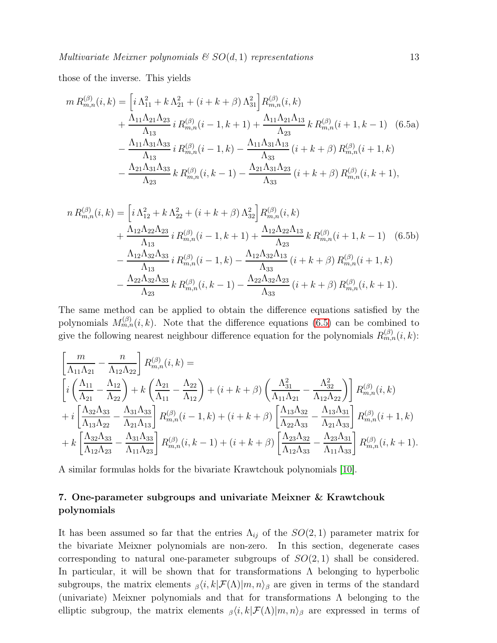those of the inverse. This yields

<span id="page-12-0"></span>
$$
m R_{m,n}^{(\beta)}(i,k) = \left[ i \Lambda_{11}^2 + k \Lambda_{21}^2 + (i + k + \beta) \Lambda_{31}^2 \right] R_{m,n}^{(\beta)}(i,k)
$$
  
+ 
$$
\frac{\Lambda_{11} \Lambda_{21} \Lambda_{23}}{\Lambda_{13}} i R_{m,n}^{(\beta)}(i - 1, k + 1) + \frac{\Lambda_{11} \Lambda_{21} \Lambda_{13}}{\Lambda_{23}} k R_{m,n}^{(\beta)}(i + 1, k - 1) \quad (6.5a)
$$
  
- 
$$
\frac{\Lambda_{11} \Lambda_{31} \Lambda_{33}}{\Lambda_{13}} i R_{m,n}^{(\beta)}(i - 1, k) - \frac{\Lambda_{11} \Lambda_{31} \Lambda_{13}}{\Lambda_{33}} (i + k + \beta) R_{m,n}^{(\beta)}(i + 1, k)
$$
  
- 
$$
\frac{\Lambda_{21} \Lambda_{31} \Lambda_{33}}{\Lambda_{23}} k R_{m,n}^{(\beta)}(i, k - 1) - \frac{\Lambda_{21} \Lambda_{31} \Lambda_{23}}{\Lambda_{33}} (i + k + \beta) R_{m,n}^{(\beta)}(i, k + 1),
$$

$$
n R_{m,n}^{(\beta)}(i,k) = \left[ i \Lambda_{12}^2 + k \Lambda_{22}^2 + (i + k + \beta) \Lambda_{32}^2 \right] R_{m,n}^{(\beta)}(i,k)
$$
  
+ 
$$
\frac{\Lambda_{12} \Lambda_{22} \Lambda_{23}}{\Lambda_{13}} i R_{m,n}^{(\beta)}(i - 1, k + 1) + \frac{\Lambda_{12} \Lambda_{22} \Lambda_{13}}{\Lambda_{23}} k R_{m,n}^{(\beta)}(i + 1, k - 1) \quad (6.5b)
$$
  
- 
$$
\frac{\Lambda_{12} \Lambda_{32} \Lambda_{33}}{\Lambda_{13}} i R_{m,n}^{(\beta)}(i - 1, k) - \frac{\Lambda_{12} \Lambda_{32} \Lambda_{13}}{\Lambda_{33}} (i + k + \beta) R_{m,n}^{(\beta)}(i + 1, k)
$$
  
- 
$$
\frac{\Lambda_{22} \Lambda_{32} \Lambda_{33}}{\Lambda_{23}} k R_{m,n}^{(\beta)}(i, k - 1) - \frac{\Lambda_{22} \Lambda_{32} \Lambda_{23}}{\Lambda_{33}} (i + k + \beta) R_{m,n}^{(\beta)}(i, k + 1).
$$

The same method can be applied to obtain the difference equations satisfied by the polynomials  $M_{m,n}^{(\beta)}(i,k)$ . Note that the difference equations [\(6.5\)](#page-12-0) can be combined to give the following nearest neighbour difference equation for the polynomials  $R_{m,n}^{(\beta)}(i,k)$ :

$$
\begin{split}\n&\left[\frac{m}{\Lambda_{11}\Lambda_{21}}-\frac{n}{\Lambda_{12}\Lambda_{22}}\right]R_{m,n}^{(\beta)}(i,k)=\\
&\left[i\left(\frac{\Lambda_{11}}{\Lambda_{21}}-\frac{\Lambda_{12}}{\Lambda_{22}}\right)+k\left(\frac{\Lambda_{21}}{\Lambda_{11}}-\frac{\Lambda_{22}}{\Lambda_{12}}\right)+(i+k+\beta)\left(\frac{\Lambda_{31}^2}{\Lambda_{11}\Lambda_{21}}-\frac{\Lambda_{32}^2}{\Lambda_{12}\Lambda_{22}}\right)\right]R_{m,n}^{(\beta)}(i,k)\\
&+i\left[\frac{\Lambda_{32}\Lambda_{33}}{\Lambda_{13}\Lambda_{22}}-\frac{\Lambda_{31}\Lambda_{33}}{\Lambda_{21}\Lambda_{13}}\right]R_{m,n}^{(\beta)}(i-1,k)+(i+k+\beta)\left[\frac{\Lambda_{13}\Lambda_{32}}{\Lambda_{22}\Lambda_{33}}-\frac{\Lambda_{13}\Lambda_{31}}{\Lambda_{21}\Lambda_{33}}\right]R_{m,n}^{(\beta)}(i+1,k)\\
&+k\left[\frac{\Lambda_{32}\Lambda_{33}}{\Lambda_{12}\Lambda_{23}}-\frac{\Lambda_{31}\Lambda_{33}}{\Lambda_{11}\Lambda_{23}}\right]R_{m,n}^{(\beta)}(i,k-1)+(i+k+\beta)\left[\frac{\Lambda_{23}\Lambda_{32}}{\Lambda_{12}\Lambda_{33}}-\frac{\Lambda_{23}\Lambda_{31}}{\Lambda_{11}\Lambda_{33}}\right]R_{m,n}^{(\beta)}(i,k+1).\n\end{split}
$$

A similar formulas holds for the bivariate Krawtchouk polynomials [\[10\]](#page-20-11).

## 7. One-parameter subgroups and univariate Meixner & Krawtchouk polynomials

It has been assumed so far that the entries  $\Lambda_{ij}$  of the  $SO(2,1)$  parameter matrix for the bivariate Meixner polynomials are non-zero. In this section, degenerate cases corresponding to natural one-parameter subgroups of  $SO(2,1)$  shall be considered. In particular, it will be shown that for transformations  $\Lambda$  belonging to hyperbolic subgroups, the matrix elements  $\beta\langle i, k|\mathcal{F}(\Lambda)|m, n\rangle_{\beta}$  are given in terms of the standard (univariate) Meixner polynomials and that for transformations Λ belonging to the elliptic subgroup, the matrix elements  $\beta\langle i, k|\mathcal{F}(\Lambda)|m, n\rangle_{\beta}$  are expressed in terms of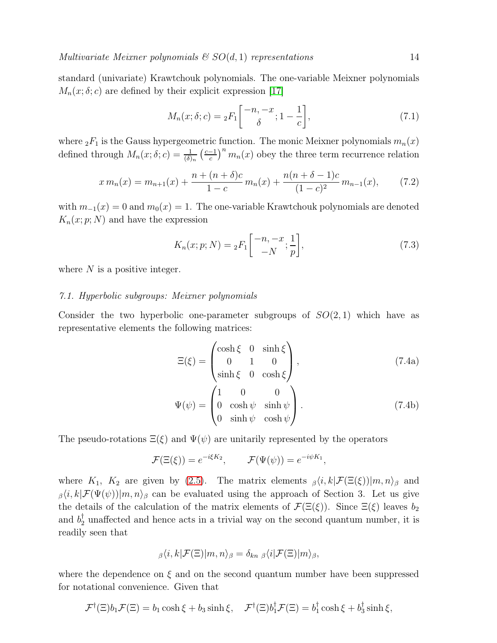standard (univariate) Krawtchouk polynomials. The one-variable Meixner polynomials  $M_n(x; \delta; c)$  are defined by their explicit expression [\[17\]](#page-21-1)

$$
M_n(x; \delta; c) = {}_2F_1\left[ \begin{array}{c} -n, -x \\ \delta \end{array}; 1 - \frac{1}{c} \right],
$$
\n(7.1)

where  ${}_2F_1$  is the Gauss hypergeometric function. The monic Meixner polynomials  $m_n(x)$ defined through  $M_n(x; \delta; c) = \frac{1}{(\delta)_n} \left(\frac{c-1}{c}\right)$  $\left(\frac{-1}{c}\right)^n m_n(x)$  obey the three term recurrence relation

$$
x m_n(x) = m_{n+1}(x) + \frac{n + (n+\delta)c}{1-c} m_n(x) + \frac{n(n+\delta-1)c}{(1-c)^2} m_{n-1}(x),
$$
 (7.2)

with  $m_{-1}(x) = 0$  and  $m_0(x) = 1$ . The one-variable Krawtchouk polynomials are denoted  $K_n(x; p; N)$  and have the expression

<span id="page-13-1"></span><span id="page-13-0"></span>
$$
K_n(x; p; N) = {}_2F_1\left[ \begin{array}{c} -n, -x \\ -N \end{array}; \frac{1}{p} \right],
$$
\n(7.3)

where  $N$  is a positive integer.

#### 7.1. Hyperbolic subgroups: Meixner polynomials

Consider the two hyperbolic one-parameter subgroups of  $SO(2,1)$  which have as representative elements the following matrices:

<span id="page-13-2"></span>
$$
\Xi(\xi) = \begin{pmatrix}\n\cosh \xi & 0 & \sinh \xi \\
0 & 1 & 0 \\
\sinh \xi & 0 & \cosh \xi\n\end{pmatrix},
$$
\n(7.4a)\n
$$
\Psi(\psi) = \begin{pmatrix}\n1 & 0 & 0 \\
0 & \cosh \psi & \sinh \psi \\
0 & \sinh \psi & \cosh \psi\n\end{pmatrix}.
$$
\n(7.4b)

The pseudo-rotations  $\Xi(\xi)$  and  $\Psi(\psi)$  are unitarily represented by the operators

$$
\mathcal{F}(\Xi(\xi)) = e^{-i\xi K_2}, \qquad \mathcal{F}(\Psi(\psi)) = e^{-i\psi K_1},
$$

where  $K_1$ ,  $K_2$  are given by [\(2.5\)](#page-3-4). The matrix elements  $\beta\langle i, k|\mathcal{F}(\Xi(\xi))|m, n\rangle_{\beta}$  and  $\beta(i,k|\mathcal{F}(\Psi(\psi))|m,n\rangle_{\beta}$  can be evaluated using the approach of Section 3. Let us give the details of the calculation of the matrix elements of  $\mathcal{F}(\Xi(\xi))$ . Since  $\Xi(\xi)$  leaves  $b_2$ and  $b_2^{\dagger}$  unaffected and hence acts in a trivial way on the second quantum number, it is readily seen that

$$
_{\beta}\langle i,k|\mathcal{F}(\Xi)|m,n\rangle_{\beta}=\delta_{kn \beta}\langle i|\mathcal{F}(\Xi)|m\rangle_{\beta},
$$

where the dependence on  $\xi$  and on the second quantum number have been suppressed for notational convenience. Given that

$$
\mathcal{F}^{\dagger}(\Xi)b_1\mathcal{F}(\Xi) = b_1 \cosh \xi + b_3 \sinh \xi, \quad \mathcal{F}^{\dagger}(\Xi)b_1^{\dagger}\mathcal{F}(\Xi) = b_1^{\dagger} \cosh \xi + b_3^{\dagger} \sinh \xi,
$$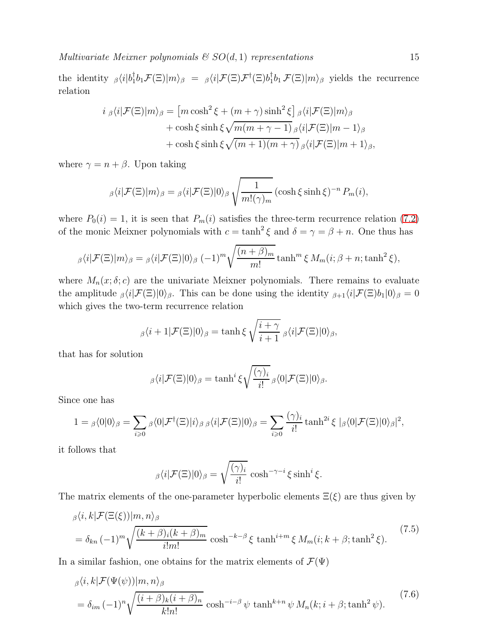Multivariate Meixner polynomials  $\mathcal{B}$   $SO(d,1)$  representations 15

the identity  $\beta \langle i | b_1^{\dagger}$  ${}^{\dagger}_{1}b_{1}\mathcal{F}(\Xi)|m\rangle_{\beta}$  =  ${}_{\beta}\langle i|\mathcal{F}(\Xi)\mathcal{F}^{\dagger}(\Xi)b^{\dagger}_{1}$  $\int_0^{\tau} b_1 \mathcal{F}(\Xi) |m\rangle_{\beta}$  yields the recurrence relation

$$
i \, \beta \langle i | \mathcal{F}(\Xi) | m \rangle_{\beta} = \left[ m \cosh^2 \xi + (m + \gamma) \sinh^2 \xi \right] \beta \langle i | \mathcal{F}(\Xi) | m \rangle_{\beta} + \cosh \xi \sinh \xi \sqrt{m(m + \gamma - 1)} \beta \langle i | \mathcal{F}(\Xi) | m - 1 \rangle_{\beta} + \cosh \xi \sinh \xi \sqrt{(m + 1)(m + \gamma)} \beta \langle i | \mathcal{F}(\Xi) | m + 1 \rangle_{\beta},
$$

where  $\gamma = n + \beta$ . Upon taking

$$
\beta \langle i|\mathcal{F}(\Xi)|m\rangle_{\beta} = \beta \langle i|\mathcal{F}(\Xi)|0\rangle_{\beta} \sqrt{\frac{1}{m!(\gamma)_m}} (\cosh \xi \sinh \xi)^{-n} P_m(i),
$$

where  $P_0(i) = 1$ , it is seen that  $P_m(i)$  satisfies the three-term recurrence relation [\(7.2\)](#page-13-0) of the monic Meixner polynomials with  $c = \tanh^2 \xi$  and  $\delta = \gamma = \beta + n$ . One thus has

$$
\beta \langle i|\mathcal{F}(\Xi)|m\rangle_{\beta} = \beta \langle i|\mathcal{F}(\Xi)|0\rangle_{\beta} (-1)^{m} \sqrt{\frac{(n+\beta)_{m}}{m!}} \tanh^{m} \xi M_{m}(i;\beta+n;\tanh^{2} \xi),
$$

where  $M_n(x; \delta; c)$  are the univariate Meixner polynomials. There remains to evaluate the amplitude  $\beta\langle i|\mathcal{F}(\Xi)|0\rangle_{\beta}$ . This can be done using the identity  $\beta_{+1}\langle i|\mathcal{F}(\Xi)b_1|0\rangle_{\beta} = 0$ which gives the two-term recurrence relation

$$
_{\beta}\langle i+1|\mathcal{F}(\Xi)|0\rangle_{\beta}=\tanh\xi\sqrt{\frac{i+\gamma}{i+1}}\,\beta\langle i|\mathcal{F}(\Xi)|0\rangle_{\beta},
$$

that has for solution

$$
_{\beta}\langle i|\mathcal{F}(\Xi)|0\rangle_{\beta}=\tanh^{i}\xi\sqrt{\frac{(\gamma)_{i}}{i!}}\,_{\beta}\langle 0|\mathcal{F}(\Xi)|0\rangle_{\beta}.
$$

Since one has

$$
1 = \beta \langle 0|0\rangle_{\beta} = \sum_{i\geqslant 0} \beta \langle 0|\mathcal{F}^{\dagger}(\Xi)|i\rangle_{\beta} \beta \langle i|\mathcal{F}(\Xi)|0\rangle_{\beta} = \sum_{i\geqslant 0} \frac{(\gamma)_{i}}{i!} \tanh^{2i} \xi \, |\beta \langle 0|\mathcal{F}(\Xi)|0\rangle_{\beta}|^{2},
$$

it follows that

<span id="page-14-1"></span><span id="page-14-0"></span>
$$
\beta \langle i|\mathcal{F}(\Xi)|0\rangle_{\beta} = \sqrt{\frac{(\gamma)_i}{i!}} \cosh^{-\gamma - i} \xi \sinh^i \xi.
$$

The matrix elements of the one-parameter hyperbolic elements  $\Xi(\xi)$  are thus given by

$$
\beta \langle i, k | \mathcal{F}(\Xi(\xi)) | m, n \rangle_{\beta}
$$
\n
$$
= \delta_{kn} (-1)^m \sqrt{\frac{(k+\beta)_i (k+\beta)_m}{i!m!}} \cosh^{-k-\beta} \xi \tanh^{i+m} \xi M_m(i; k+\beta; \tanh^2 \xi).
$$
\n(7.5)

In a similar fashion, one obtains for the matrix elements of  $\mathcal{F}(\Psi)$ 

$$
\beta \langle i, k | \mathcal{F}(\Psi(\psi)) | m, n \rangle_{\beta}
$$
\n
$$
= \delta_{im} (-1)^n \sqrt{\frac{(i + \beta)_k (i + \beta)_n}{k! n!}} \cosh^{-i - \beta} \psi \tanh^{k+n} \psi M_n(k; i + \beta; \tanh^2 \psi). \tag{7.6}
$$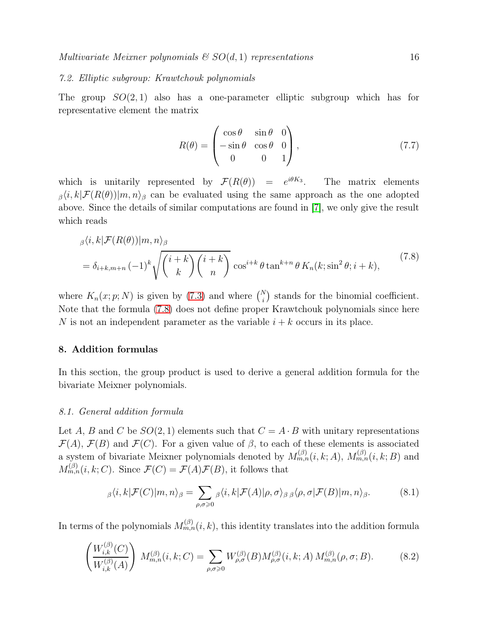#### 7.2. Elliptic subgroup: Krawtchouk polynomials

The group  $SO(2,1)$  also has a one-parameter elliptic subgroup which has for representative element the matrix

<span id="page-15-2"></span><span id="page-15-0"></span>
$$
R(\theta) = \begin{pmatrix} \cos \theta & \sin \theta & 0 \\ -\sin \theta & \cos \theta & 0 \\ 0 & 0 & 1 \end{pmatrix},
$$
 (7.7)

which is unitarily represented by  $\mathcal{F}(R(\theta)) = e^{i\theta K_3}$ . The matrix elements  $\beta(i,k|\mathcal{F}(R(\theta))|m,n)_{\beta}$  can be evaluated using the same approach as the one adopted above. Since the details of similar computations are found in [\[7\]](#page-20-9), we only give the result which reads

$$
\beta^{(i,k|\mathcal{F}(R(\theta))|m,n)} = \delta_{i+k,m+n} (-1)^k \sqrt{\binom{i+k}{k} \binom{i+k}{n}} \cos^{i+k} \theta \tan^{k+n} \theta K_n(k; \sin^2 \theta; i+k), \tag{7.8}
$$

where  $K_n(x; p; N)$  is given by [\(7.3\)](#page-13-1) and where  $\binom{N}{i}$  stands for the binomial coefficient. Note that the formula [\(7.8\)](#page-15-0) does not define proper Krawtchouk polynomials since here N is not an independent parameter as the variable  $i + k$  occurs in its place.

#### 8. Addition formulas

In this section, the group product is used to derive a general addition formula for the bivariate Meixner polynomials.

#### 8.1. General addition formula

Let A, B and C be  $SO(2,1)$  elements such that  $C = A \cdot B$  with unitary representations  $\mathcal{F}(A)$ ,  $\mathcal{F}(B)$  and  $\mathcal{F}(C)$ . For a given value of  $\beta$ , to each of these elements is associated a system of bivariate Meixner polynomials denoted by  $M_{m,n}^{(\beta)}(i,k;A)$ ,  $M_{m,n}^{(\beta)}(i,k;B)$  and  $M_{m,n}^{(\beta)}(i,k;C)$ . Since  $\mathcal{F}(C) = \mathcal{F}(A)\mathcal{F}(B)$ , it follows that

<span id="page-15-1"></span>
$$
{}_{\beta}\langle i,k|\mathcal{F}(C)|m,n\rangle_{\beta} = \sum_{\rho,\sigma\geq 0} {}_{\beta}\langle i,k|\mathcal{F}(A)|\rho,\sigma\rangle_{\beta}\, {}_{\beta}\langle\rho,\sigma|\mathcal{F}(B)|m,n\rangle_{\beta}.
$$
 (8.1)

In terms of the polynomials  $M_{m,n}^{(\beta)}(i,k)$ , this identity translates into the addition formula

$$
\left(\frac{W_{i,k}^{(\beta)}(C)}{W_{i,k}^{(\beta)}(A)}\right) M_{m,n}^{(\beta)}(i,k;C) = \sum_{\rho,\sigma \ge 0} W_{\rho,\sigma}^{(\beta)}(B) M_{\rho,\sigma}^{(\beta)}(i,k;A) M_{m,n}^{(\beta)}(\rho,\sigma;B). \tag{8.2}
$$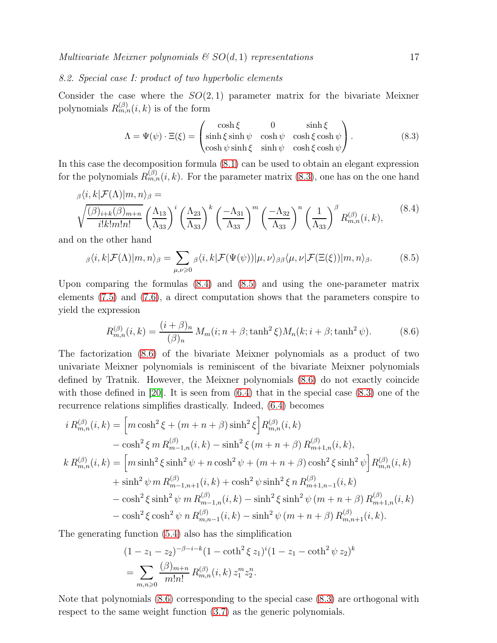#### 8.2. Special case I: product of two hyperbolic elements

Consider the case where the  $SO(2,1)$  parameter matrix for the bivariate Meixner polynomials  $R_{m,n}^{(\beta)}(i,k)$  is of the form

<span id="page-16-1"></span><span id="page-16-0"></span>
$$
\Lambda = \Psi(\psi) \cdot \Xi(\xi) = \begin{pmatrix} \cosh \xi & 0 & \sinh \xi \\ \sinh \xi \sinh \psi & \cosh \psi & \cosh \xi \cosh \psi \\ \cosh \psi \sinh \xi & \sinh \psi & \cosh \xi \cosh \psi \end{pmatrix} . \tag{8.3}
$$

In this case the decomposition formula [\(8.1\)](#page-15-1) can be used to obtain an elegant expression for the polynomials  $R_{m,n}^{(\beta)}(i,k)$ . For the parameter matrix [\(8.3\)](#page-16-0), one has on the one hand

$$
\beta \langle i, k | \mathcal{F}(\Lambda) | m, n \rangle_{\beta} =
$$
\n
$$
\sqrt{\frac{(\beta)_{i+k}(\beta)_{m+n}}{i!k!m!n!}} \left(\frac{\Lambda_{13}}{\Lambda_{33}}\right)^i \left(\frac{\Lambda_{23}}{\Lambda_{33}}\right)^k \left(\frac{-\Lambda_{31}}{\Lambda_{33}}\right)^m \left(\frac{-\Lambda_{32}}{\Lambda_{33}}\right)^n \left(\frac{1}{\Lambda_{33}}\right)^{\beta} R_{m,n}^{(\beta)}(i,k),
$$
\n(8.4)

and on the other hand

$$
\beta \langle i, k | \mathcal{F}(\Lambda) | m, n \rangle_{\beta} = \sum_{\mu, \nu \geq 0} \beta \langle i, k | \mathcal{F}(\Psi(\psi)) | \mu, \nu \rangle_{\beta \beta} \langle \mu, \nu | \mathcal{F}(\Xi(\xi)) | m, n \rangle_{\beta}.
$$
 (8.5)

Upon comparing the formulas [\(8.4\)](#page-16-1) and [\(8.5\)](#page-16-2) and using the one-parameter matrix elements [\(7.5\)](#page-14-0) and [\(7.6\)](#page-14-1), a direct computation shows that the parameters conspire to yield the expression

<span id="page-16-3"></span><span id="page-16-2"></span>
$$
R_{m,n}^{(\beta)}(i,k) = \frac{(i+\beta)_n}{(\beta)_n} M_m(i;n+\beta;\tanh^2\xi) M_n(k;i+\beta;\tanh^2\psi).
$$
 (8.6)

The factorization [\(8.6\)](#page-16-3) of the bivariate Meixner polynomials as a product of two univariate Meixner polynomials is reminiscent of the bivariate Meixner polynomials defined by Tratnik. However, the Meixner polynomials [\(8.6\)](#page-16-3) do not exactly coincide with those defined in [\[20\]](#page-21-7). It is seen from  $(6.4)$  that in the special case  $(8.3)$  one of the recurrence relations simplifies drastically. Indeed, [\(6.4\)](#page-11-0) becomes

$$
i R_{m,n}^{(\beta)}(i,k) = \left[ m \cosh^2 \xi + (m+n+\beta) \sinh^2 \xi \right] R_{m,n}^{(\beta)}(i,k)
$$
  
\n
$$
- \cosh^2 \xi m R_{m-1,n}^{(\beta)}(i,k) - \sinh^2 \xi (m+n+\beta) R_{m+1,n}^{(\beta)}(i,k),
$$
  
\n
$$
k R_{m,n}^{(\beta)}(i,k) = \left[ m \sinh^2 \xi \sinh^2 \psi + n \cosh^2 \psi + (m+n+\beta) \cosh^2 \xi \sinh^2 \psi \right] R_{m,n}^{(\beta)}(i,k)
$$
  
\n
$$
+ \sinh^2 \psi m R_{m-1,n+1}^{(\beta)}(i,k) + \cosh^2 \psi \sinh^2 \xi n R_{m+1,n-1}^{(\beta)}(i,k)
$$
  
\n
$$
- \cosh^2 \xi \sinh^2 \psi m R_{m-1,n}^{(\beta)}(i,k) - \sinh^2 \xi \sinh^2 \psi (m+n+\beta) R_{m+1,n}^{(\beta)}(i,k)
$$
  
\n
$$
- \cosh^2 \xi \cosh^2 \psi n R_{m,n-1}^{(\beta)}(i,k) - \sinh^2 \psi (m+n+\beta) R_{m,n+1}^{(\beta)}(i,k).
$$

The generating function [\(5.4\)](#page-9-1) also has the simplification

$$
(1 - z_1 - z_2)^{-\beta - i - k} (1 - \coth^2 \xi z_1)^i (1 - z_1 - \coth^2 \psi z_2)^k
$$
  
= 
$$
\sum_{m,n \geqslant 0} \frac{(\beta)_{m+n}}{m! n!} R_{m,n}^{(\beta)}(i,k) z_1^m z_2^n.
$$

Note that polynomials [\(8.6\)](#page-16-3) corresponding to the special case [\(8.3\)](#page-16-0) are orthogonal with respect to the same weight function [\(3.7\)](#page-6-1) as the generic polynomials.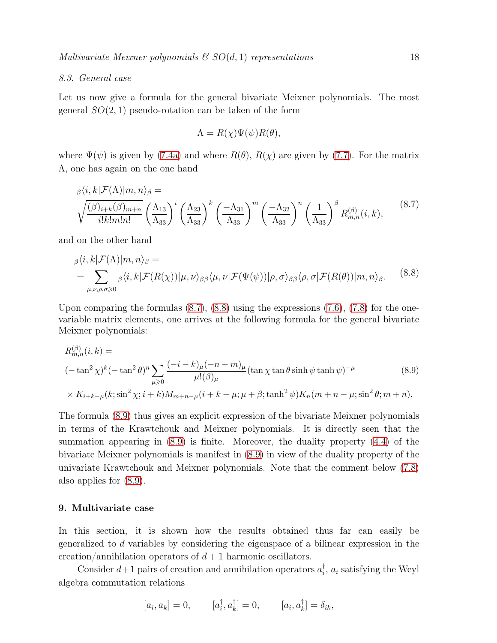#### 8.3. General case

Let us now give a formula for the general bivariate Meixner polynomials. The most general  $SO(2,1)$  pseudo-rotation can be taken of the form

<span id="page-17-2"></span><span id="page-17-1"></span><span id="page-17-0"></span>
$$
\Lambda = R(\chi)\Psi(\psi)R(\theta),
$$

where  $\Psi(\psi)$  is given by [\(7.4a\)](#page-13-2) and where  $R(\theta)$ ,  $R(\chi)$  are given by [\(7.7\)](#page-15-2). For the matrix Λ, one has again on the one hand

$$
\beta^{(i,k|\mathcal{F}(\Lambda)|m,n)}\beta = \sqrt{\frac{(\beta)_{i+k}(\beta)_{m+n}}{i!k!m!n!}} \left(\frac{\Lambda_{13}}{\Lambda_{33}}\right)^i \left(\frac{\Lambda_{23}}{\Lambda_{33}}\right)^k \left(\frac{-\Lambda_{31}}{\Lambda_{33}}\right)^m \left(\frac{-\Lambda_{32}}{\Lambda_{33}}\right)^n \left(\frac{1}{\Lambda_{33}}\right)^{\beta} R_{m,n}^{(\beta)}(i,k),
$$
\n(8.7)

and on the other hand

$$
\beta \langle i, k | \mathcal{F}(\Lambda) | m, n \rangle_{\beta} =
$$
\n
$$
= \sum_{\mu, \nu, \rho, \sigma \geq 0} \beta \langle i, k | \mathcal{F}(R(\chi)) | \mu, \nu \rangle_{\beta \beta} \langle \mu, \nu | \mathcal{F}(\Psi(\psi)) | \rho, \sigma \rangle_{\beta \beta} \langle \rho, \sigma | \mathcal{F}(R(\theta)) | m, n \rangle_{\beta}.
$$
\n(8.8)

Upon comparing the formulas  $(8.7)$ ,  $(8.8)$  using the expressions  $(7.6)$ ,  $(7.8)$  for the onevariable matrix elements, one arrives at the following formula for the general bivariate Meixner polynomials:

$$
R_{m,n}^{(\beta)}(i,k) =
$$
  

$$
(-\tan^2 \chi)^k (-\tan^2 \theta)^n \sum_{\mu \ge 0} \frac{(-i-k)_{\mu}(-n-m)_{\mu}}{\mu!(\beta)_{\mu}} (\tan \chi \tan \theta \sinh \psi \tanh \psi)^{-\mu}
$$
(8.9)  

$$
\times K_{i+k-\mu}(k; \sin^2 \chi; i+k) M_{m+n-\mu}(i+k-\mu; \mu+\beta; \tanh^2 \psi) K_n(m+n-\mu; \sin^2 \theta; m+n).
$$

The formula [\(8.9\)](#page-17-2) thus gives an explicit expression of the bivariate Meixner polynomials in terms of the Krawtchouk and Meixner polynomials. It is directly seen that the summation appearing in [\(8.9\)](#page-17-2) is finite. Moreover, the duality property [\(4.4\)](#page-8-2) of the bivariate Meixner polynomials is manifest in [\(8.9\)](#page-17-2) in view of the duality property of the univariate Krawtchouk and Meixner polynomials. Note that the comment below [\(7.8\)](#page-15-0) also applies for [\(8.9\)](#page-17-2).

### 9. Multivariate case

In this section, it is shown how the results obtained thus far can easily be generalized to d variables by considering the eigenspace of a bilinear expression in the creation/annihilation operators of  $d+1$  harmonic oscillators.

Consider  $d+1$  pairs of creation and annihilation operators  $a_i^{\dagger}$  $\mathbf{I}_i$ ,  $a_i$  satisfying the Weyl algebra commutation relations

$$
[a_i,a_k]=0,\qquad [a_i^\dagger,a_k^\dagger]=0,\qquad [a_i,a_k^\dagger]=\delta_{ik},
$$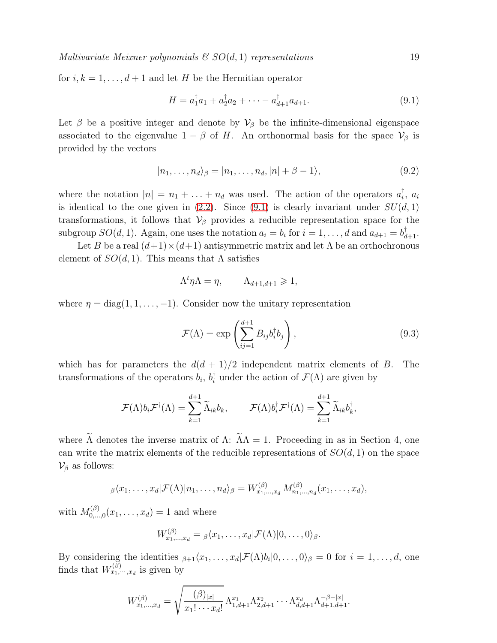Multivariate Meixner polynomials  $\mathcal{C}SO(d,1)$  representations 19

for  $i, k = 1, \ldots, d+1$  and let H be the Hermitian operator

<span id="page-18-0"></span>
$$
H = a_1^{\dagger} a_1 + a_2^{\dagger} a_2 + \dots - a_{d+1}^{\dagger} a_{d+1}.
$$
\n(9.1)

Let  $\beta$  be a positive integer and denote by  $\mathcal{V}_{\beta}$  be the infinite-dimensional eigenspace associated to the eigenvalue  $1 - \beta$  of H. An orthonormal basis for the space  $\mathcal{V}_{\beta}$  is provided by the vectors

$$
|n_1,\ldots,n_d\rangle_{\beta}=|n_1,\ldots,n_d,|n|+\beta-1\rangle,
$$
\n(9.2)

where the notation  $|n| = n_1 + \ldots + n_d$  was used. The action of the operators  $a_i^{\dagger}$  $\frac{1}{i}$ ,  $a_i$ is identical to the one given in  $(2.2)$ . Since  $(9.1)$  is clearly invariant under  $SU(d, 1)$ transformations, it follows that  $\mathcal{V}_{\beta}$  provides a reducible representation space for the subgroup  $SO(d, 1)$ . Again, one uses the notation  $a_i = b_i$  for  $i = 1, ..., d$  and  $a_{d+1} = b_{d+1}^{\dagger}$ .

Let B be a real  $(d+1) \times (d+1)$  antisymmetric matrix and let  $\Lambda$  be an orthochronous element of  $SO(d,1)$ . This means that  $\Lambda$  satisfies

$$
\Lambda^t \eta \Lambda = \eta, \qquad \Lambda_{d+1,d+1} \geqslant 1,
$$

where  $\eta = \text{diag}(1, 1, \ldots, -1)$ . Consider now the unitary representation

$$
\mathcal{F}(\Lambda) = \exp\left(\sum_{ij=1}^{d+1} B_{ij} b_i^{\dagger} b_j\right),\tag{9.3}
$$

which has for parameters the  $d(d + 1)/2$  independent matrix elements of B. The transformations of the operators  $b_i$ ,  $b_i^{\dagger}$  under the action of  $\mathcal{F}(\Lambda)$  are given by

$$
\mathcal{F}(\Lambda)b_i\mathcal{F}^{\dagger}(\Lambda)=\sum_{k=1}^{d+1}\widetilde{\Lambda}_{ik}b_k, \qquad \mathcal{F}(\Lambda)b_i^{\dagger}\mathcal{F}^{\dagger}(\Lambda)=\sum_{k=1}^{d+1}\widetilde{\Lambda}_{ik}b_k^{\dagger},
$$

where  $\tilde{\Lambda}$  denotes the inverse matrix of  $\Lambda$ :  $\tilde{\Lambda}\Lambda = 1$ . Proceeding in as in Section 4, one can write the matrix elements of the reducible representations of  $SO(d, 1)$  on the space  $\mathcal{V}_{\beta}$  as follows:

$$
\beta \langle x_1, \ldots, x_d | \mathcal{F}(\Lambda) | n_1, \ldots, n_d \rangle_{\beta} = W_{x_1, \ldots, x_d}^{(\beta)} M_{n_1, \ldots, n_d}^{(\beta)} (x_1, \ldots, x_d),
$$

with  $M_{0...}^{(\beta)}$  $\mathcal{L}_{0,\ldots,0}^{(p)}(x_1,\ldots,x_d) = 1$  and where

$$
W_{x_1,\ldots,x_d}^{(\beta)} = \beta \langle x_1,\ldots,x_d | \mathcal{F}(\Lambda) | 0,\ldots,0 \rangle_{\beta}.
$$

By considering the identities  $\beta_{+1}\langle x_1, \ldots, x_d|\mathcal{F}(\Lambda)b_i|0,\ldots,0\rangle_{\beta} = 0$  for  $i = 1, \ldots, d$ , one finds that  $W_{x_1,\dots,x_d}^{(\beta)}$  is given by

$$
W_{x_1,\dots,x_d}^{(\beta)} = \sqrt{\frac{(\beta)_{|x|}}{x_1! \cdots x_d!}} \Lambda_{1,d+1}^{x_1} \Lambda_{2,d+1}^{x_2} \cdots \Lambda_{d,d+1}^{x_d} \Lambda_{d+1,d+1}^{-\beta-|x|}.
$$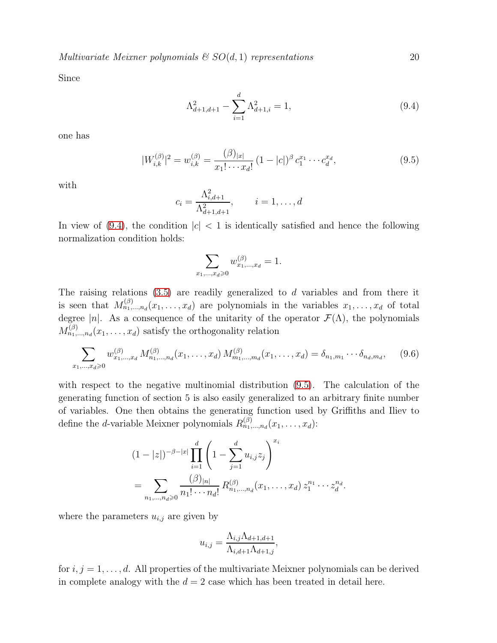Multivariate Meixner polynomials  $g(SO(d, 1))$  representations 20

Since

<span id="page-19-1"></span><span id="page-19-0"></span>
$$
\Lambda_{d+1,d+1}^2 - \sum_{i=1}^d \Lambda_{d+1,i}^2 = 1,\tag{9.4}
$$

one has

$$
|W_{i,k}^{(\beta)}|^2 = w_{i,k}^{(\beta)} = \frac{(\beta)_{|x|}}{x_1! \cdots x_d!} (1 - |c|)^{\beta} c_1^{x_1} \cdots c_d^{x_d},
$$
\n(9.5)

with

$$
c_i = \frac{\Lambda_{i,d+1}^2}{\Lambda_{d+1,d+1}^2}, \qquad i = 1, \dots, d
$$

In view of [\(9.4\)](#page-19-0), the condition  $|c| < 1$  is identically satisfied and hence the following normalization condition holds:

$$
\sum_{x_1,\ldots,x_d\geqslant 0}w_{x_1,\ldots,x_d}^{(\beta)}=1.
$$

The raising relations  $(3.5)$  are readily generalized to d variables and from there it is seen that  $M_{n_1,...,n_d}^{(\beta)}(x_1,...,x_d)$  are polynomials in the variables  $x_1,...,x_d$  of total degree |n|. As a consequence of the unitarity of the operator  $\mathcal{F}(\Lambda)$ , the polynomials  $M_{n_1,...,n_d}^{(\beta)}(x_1,...,x_d)$  satisfy the orthogonality relation

$$
\sum_{x_1,\dots,x_d\geqslant 0} w_{x_1,\dots,x_d}^{(\beta)} M_{n_1,\dots,n_d}^{(\beta)}(x_1,\dots,x_d) M_{m_1,\dots,m_d}^{(\beta)}(x_1,\dots,x_d) = \delta_{n_1,m_1} \cdots \delta_{n_d,m_d}, \quad (9.6)
$$

with respect to the negative multinomial distribution [\(9.5\)](#page-19-1). The calculation of the generating function of section 5 is also easily generalized to an arbitrary finite number of variables. One then obtains the generating function used by Griffiths and Iliev to define the *d*-variable Meixner polynomials  $R_{n_1,...,n_d}^{(\beta)}(x_1,...,x_d)$ :

$$
(1-|z|)^{-\beta-|x|} \prod_{i=1}^{d} \left(1 - \sum_{j=1}^{d} u_{i,j} z_j\right)^{x_i}
$$
  
= 
$$
\sum_{n_1,\dots,n_d \geq 0} \frac{(\beta)_{|n|}}{n_1! \cdots n_d!} R_{n_1,\dots,n_d}^{(\beta)}(x_1,\dots,x_d) z_1^{n_1} \cdots z_d^{n_d}.
$$

where the parameters  $u_{i,j}$  are given by

$$
u_{i,j} = \frac{\Lambda_{i,j}\Lambda_{d+1,d+1}}{\Lambda_{i,d+1}\Lambda_{d+1,j}},
$$

for  $i, j = 1, \ldots, d$ . All properties of the multivariate Meixner polynomials can be derived in complete analogy with the  $d = 2$  case which has been treated in detail here.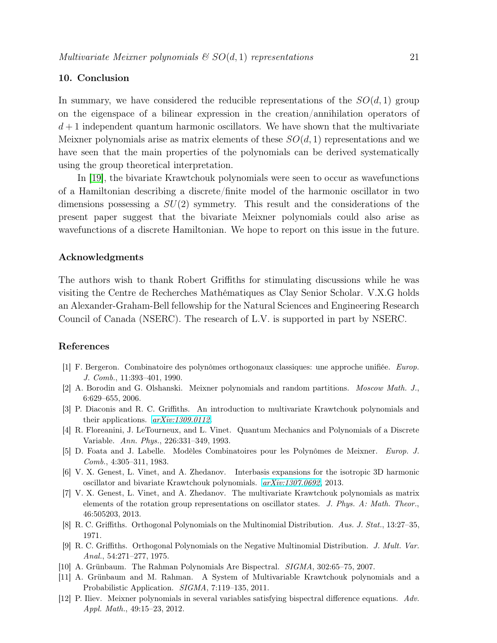## 10. Conclusion

In summary, we have considered the reducible representations of the  $SO(d,1)$  group on the eigenspace of a bilinear expression in the creation/annihilation operators of  $d+1$  independent quantum harmonic oscillators. We have shown that the multivariate Meixner polynomials arise as matrix elements of these  $SO(d, 1)$  representations and we have seen that the main properties of the polynomials can be derived systematically using the group theoretical interpretation.

In [\[19\]](#page-21-8), the bivariate Krawtchouk polynomials were seen to occur as wavefunctions of a Hamiltonian describing a discrete/finite model of the harmonic oscillator in two dimensions possessing a  $SU(2)$  symmetry. This result and the considerations of the present paper suggest that the bivariate Meixner polynomials could also arise as wavefunctions of a discrete Hamiltonian. We hope to report on this issue in the future.

#### Acknowledgments

The authors wish to thank Robert Griffiths for stimulating discussions while he was visiting the Centre de Recherches Mathématiques as Clay Senior Scholar. V.X.G holds an Alexander-Graham-Bell fellowship for the Natural Sciences and Engineering Research Council of Canada (NSERC). The research of L.V. is supported in part by NSERC.

#### <span id="page-20-0"></span>References

- <span id="page-20-2"></span>[1] F. Bergeron. Combinatoire des polynômes orthogonaux classiques: une approche unifiée. *Europ. J. Comb.*, 11:393–401, 1990.
- <span id="page-20-8"></span>[2] A. Borodin and G. Olshanski. Meixner polynomials and random partitions. *Moscow Math. J.*, 6:629–655, 2006.
- <span id="page-20-3"></span>[3] P. Diaconis and R. C. Griffiths. An introduction to multivariate Krawtchouk polynomials and their applications. *[arXiv:1309.0112](http://arxiv.org/abs/1309.0112)*.
- <span id="page-20-1"></span>[4] R. Floreanini, J. LeTourneux, and L. Vinet. Quantum Mechanics and Polynomials of a Discrete Variable. *Ann. Phys.*, 226:331–349, 1993.
- [5] D. Foata and J. Labelle. Modèles Combinatoires pour les Polynômes de Meixner. *Europ. J. Comb.*, 4:305–311, 1983.
- <span id="page-20-10"></span>[6] V. X. Genest, L. Vinet, and A. Zhedanov. Interbasis expansions for the isotropic 3D harmonic oscillator and bivariate Krawtchouk polynomials. *[arXiv:1307.0692](http://arxiv.org/abs/1307.0692)*, 2013.
- <span id="page-20-9"></span>[7] V. X. Genest, L. Vinet, and A. Zhedanov. The multivariate Krawtchouk polynomials as matrix elements of the rotation group representations on oscillator states. *J. Phys. A: Math. Theor.*, 46:505203, 2013.
- <span id="page-20-6"></span><span id="page-20-4"></span>[8] R. C. Griffiths. Orthogonal Polynomials on the Multinomial Distribution. *Aus. J. Stat.*, 13:27–35, 1971.
- [9] R. C. Griffiths. Orthogonal Polynomials on the Negative Multinomial Distribution. *J. Mult. Var. Anal.*, 54:271–277, 1975.
- <span id="page-20-11"></span><span id="page-20-7"></span>[10] A. Grünbaum. The Rahman Polynomials Are Bispectral. *SIGMA*, 302:65–75, 2007.
- [11] A. Grünbaum and M. Rahman. A System of Multivariable Krawtchouk polynomials and a Probabilistic Application. *SIGMA*, 7:119–135, 2011.
- <span id="page-20-5"></span>[12] P. Iliev. Meixner polynomials in several variables satisfying bispectral difference equations. *Adv. Appl. Math.*, 49:15–23, 2012.